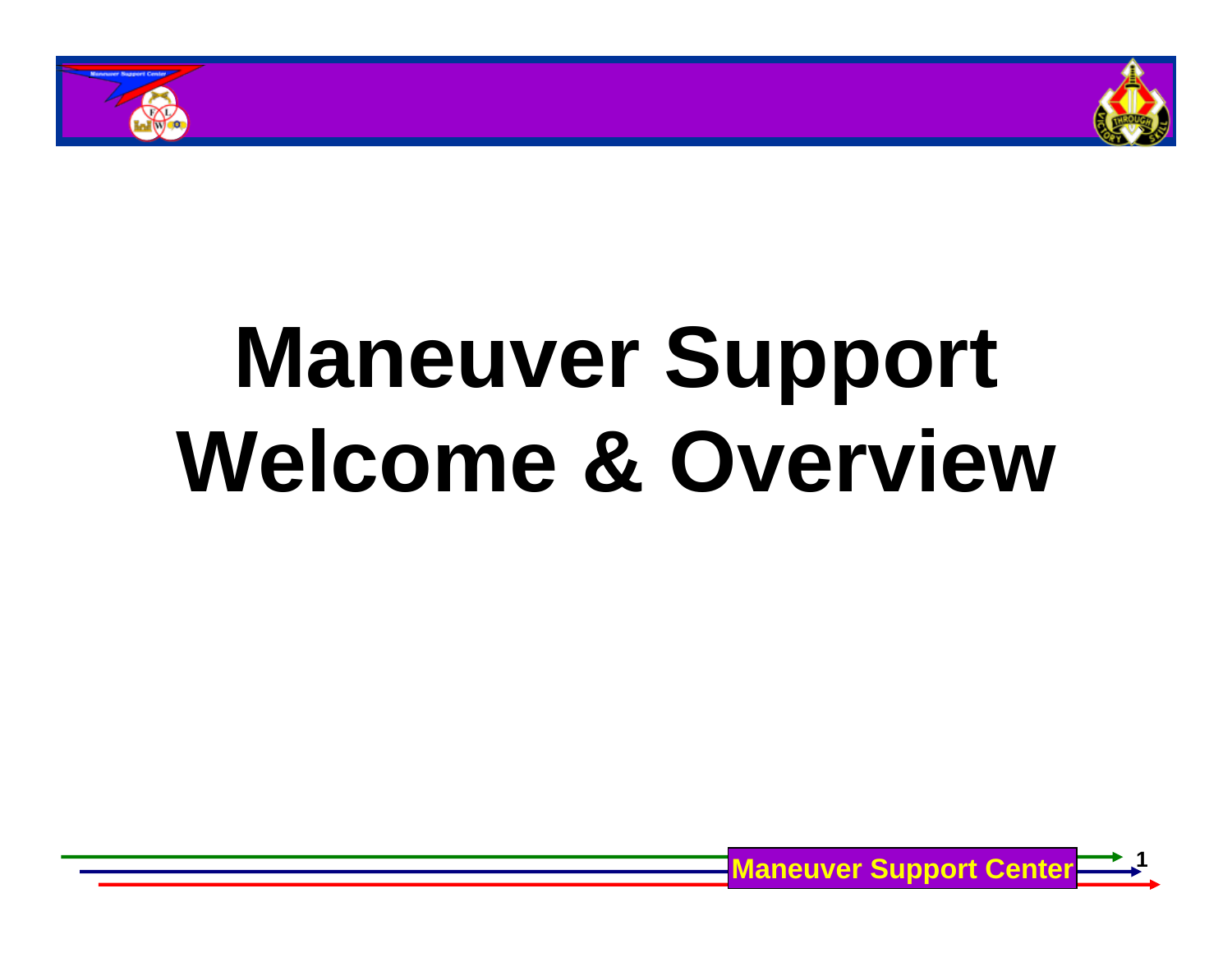



# **Maneuver Support Welcome & Overview**

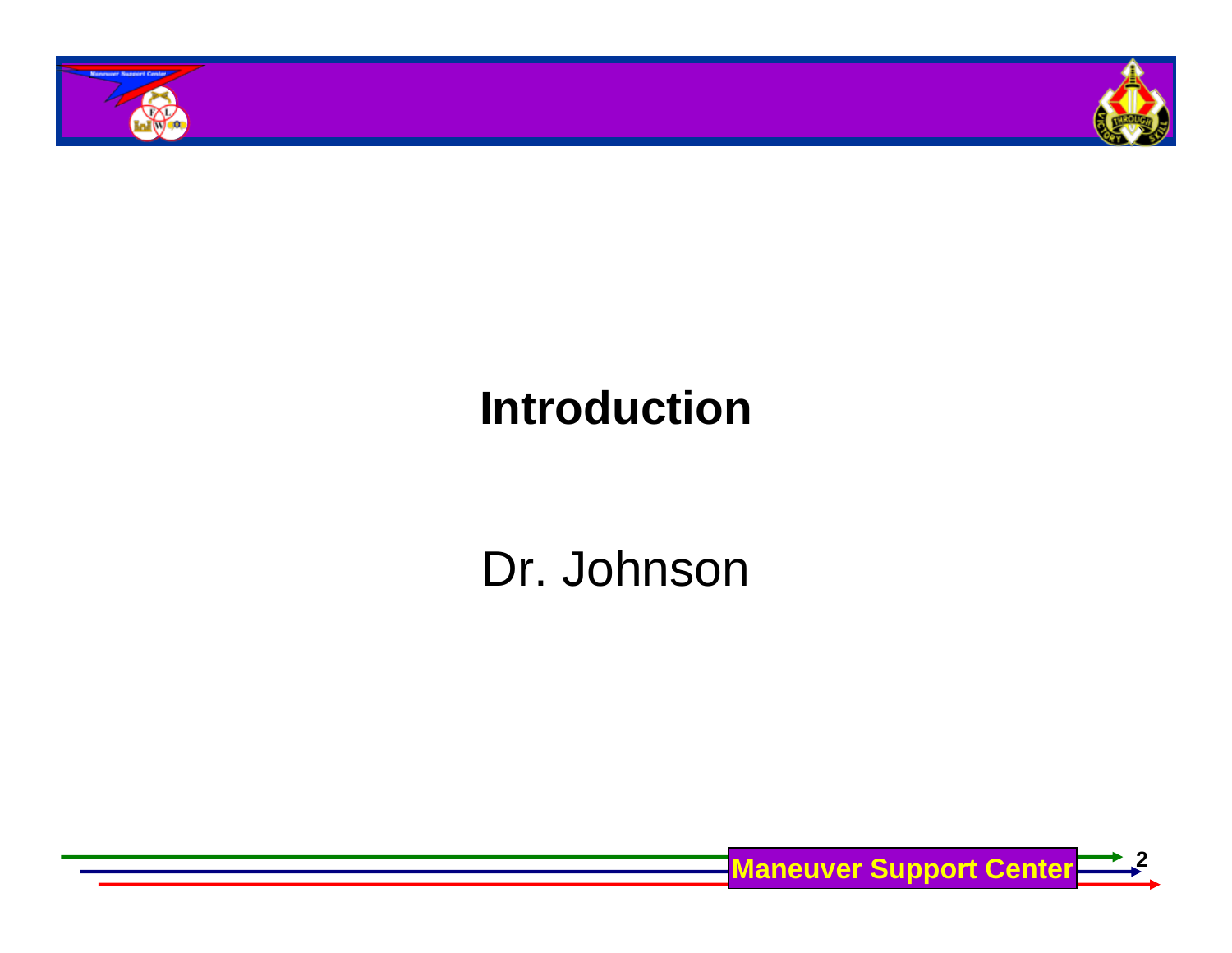



### **Introduction**

# Dr. Johnson

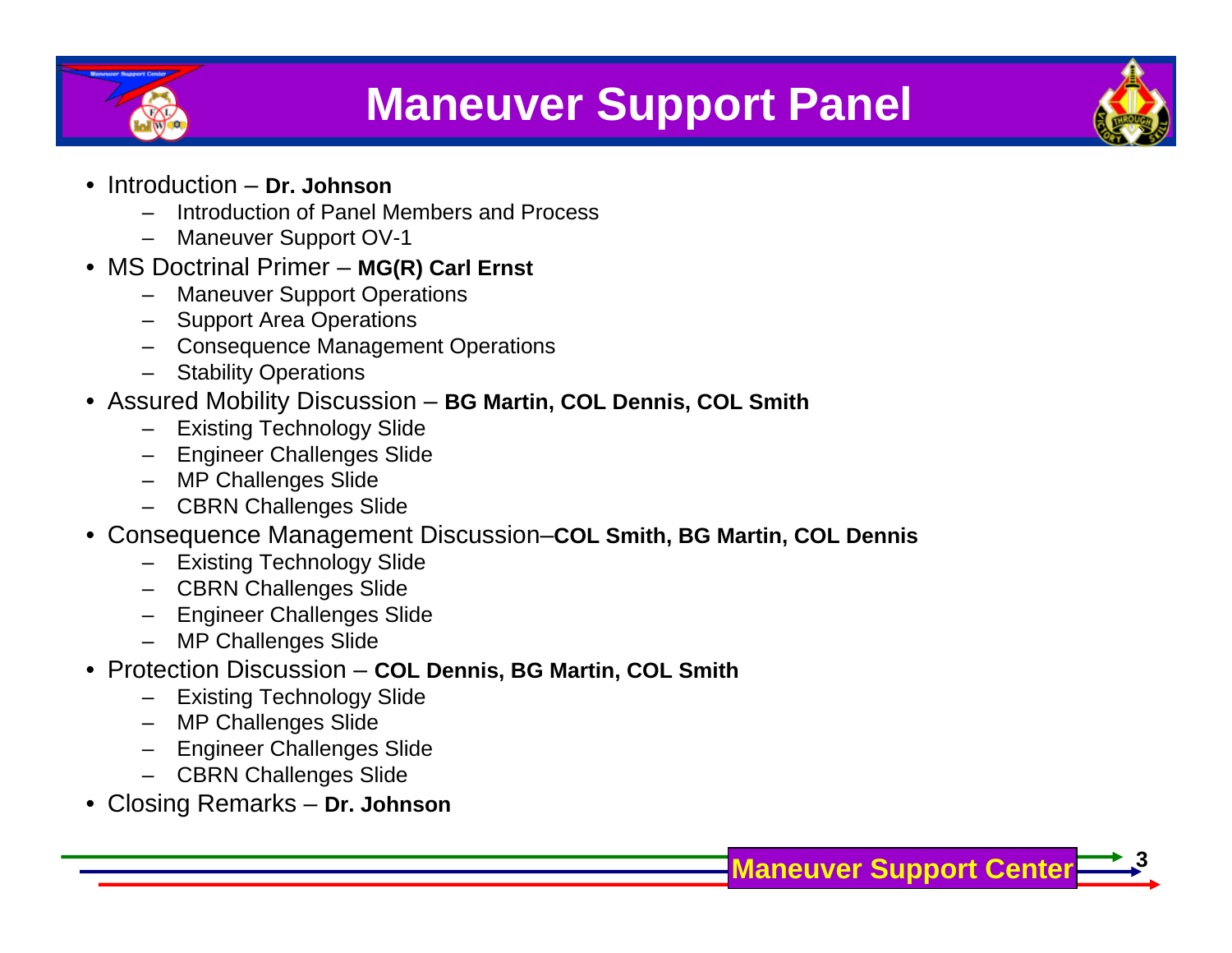

### **Maneuver Support Panel**



**3**

- Introduction **Dr. Johnson**
	- Introduction of Panel Members and Process
	- Maneuver Support OV-1
- MS Doctrinal Primer **MG(R) Carl Ernst**
	- **Maneuver Support Operations**
	- Support Area Operations
	- Consequence Management Operations
	- **Stability Operations**
- Assured Mobility Discussion **BG Martin, COL Dennis, COL Smith**
	- **Existing Technology Slide**
	- Engineer Challenges Slide
	- MP Challenges Slide
	- CBRN Challenges Slide
- Consequence Management Discussion–**COL Smith, BG Martin, COL Dennis**
	- Existing Technology Slide
	- CBRN Challenges Slide
	- Engineer Challenges Slide
	- MP Challenges Slide
- Protection Discussion **COL Dennis, BG Martin, COL Smith**
	- Existing Technology Slide
	- MP Challenges Slide
	- Engineer Challenges Slide
	- CBRN Challenges Slide
- Closing Remarks **Dr. Johnson**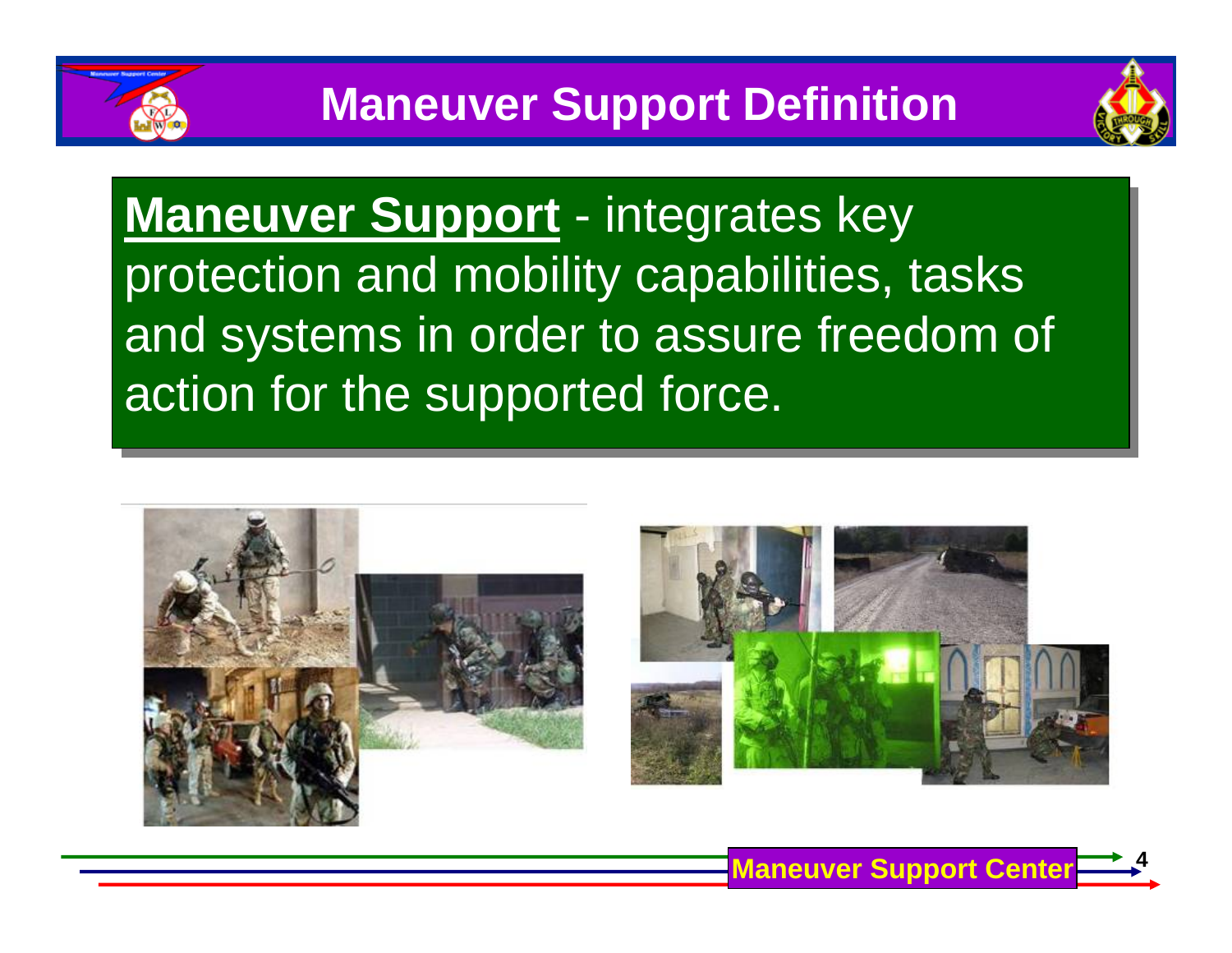

**Maneuver Support** - integrates key **Maneuver Support** - integrates key protection and mobility capabilities, tasks protection and mobility capabilities, tasks and systems in order to assure freedom of and systems in order to assure freedom of action for the supported force. action for the supported force.



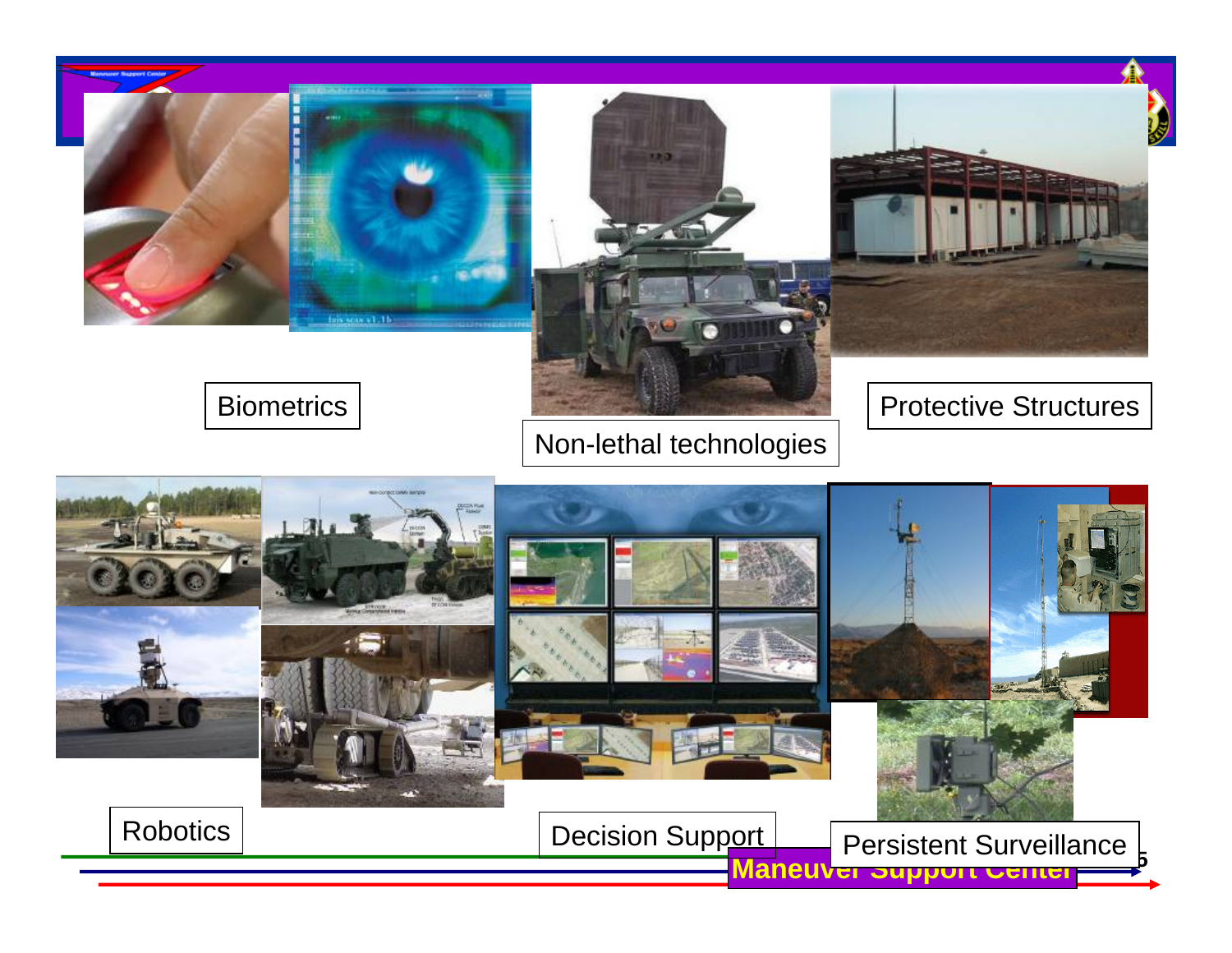



#### Biometrics

### Non-lethal technologies

#### Protective Structures

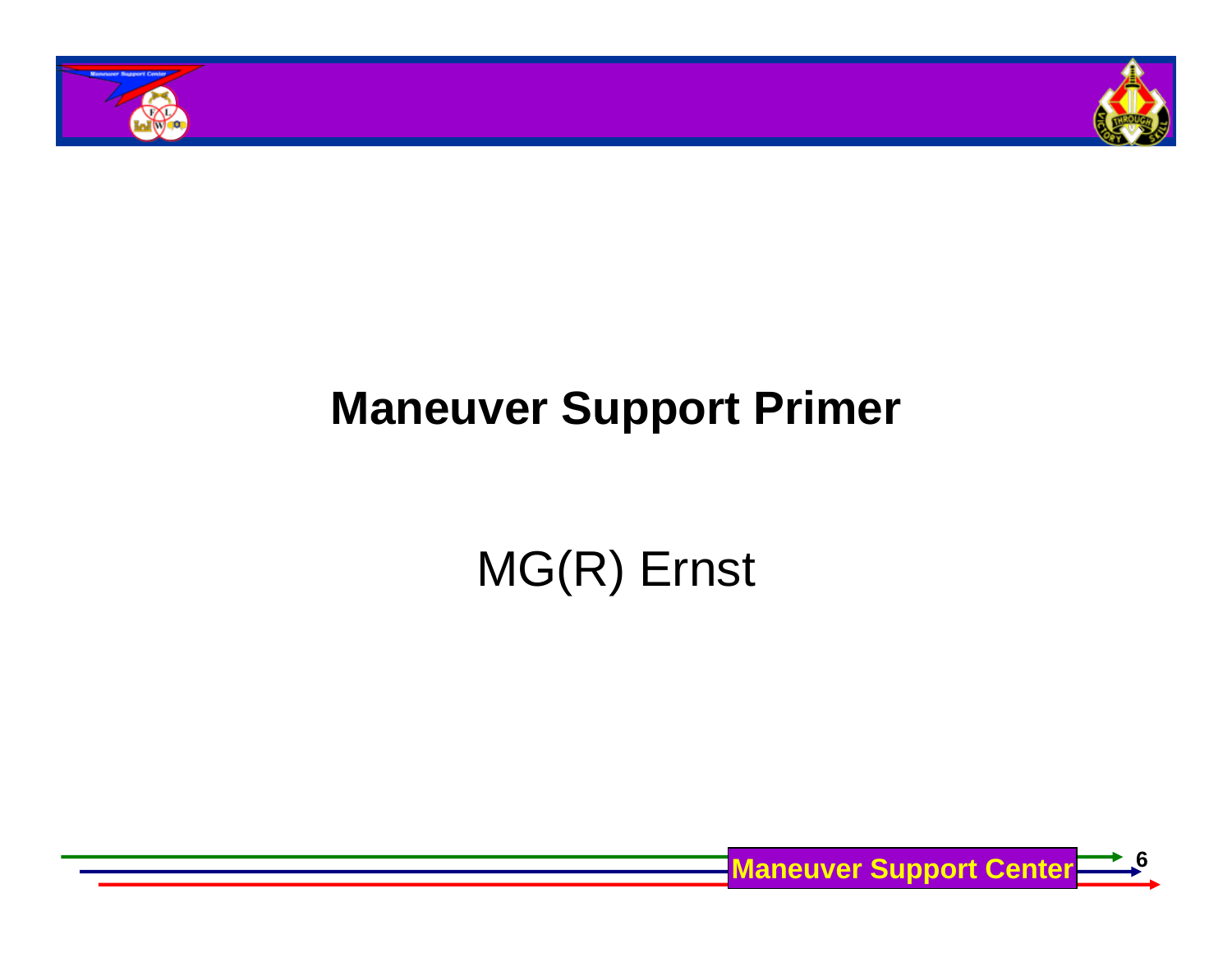



# **Maneuver Support Primer**

# MG(R) Ernst

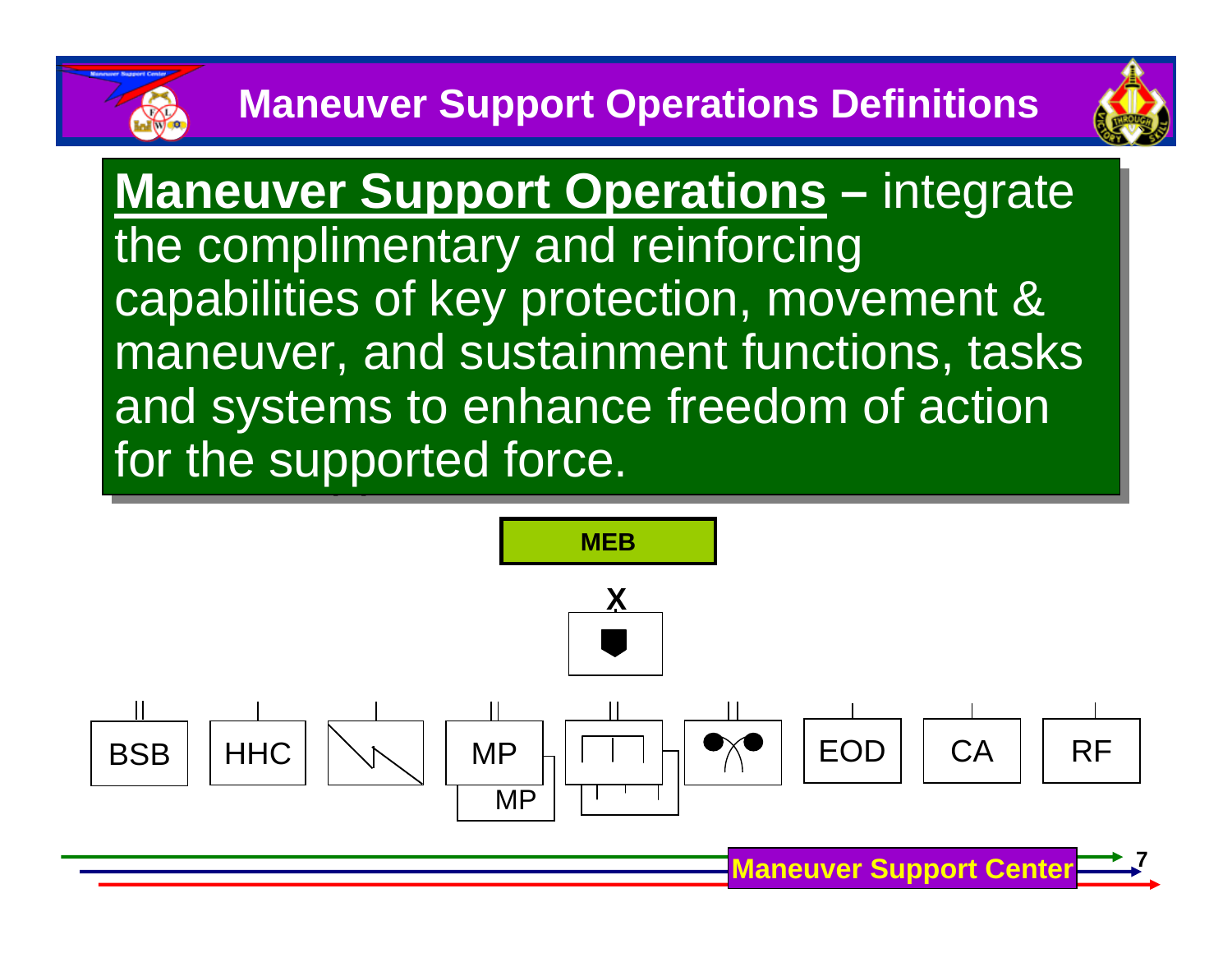

**Maneuver Support Center**

**Maneuver Support Operations –** integrate **Maneuver Support Operations –** integrate the complimentary and reinforcing the complimentary and reinforcing capabilities of key protection, movement & capabilities of key protection, movement & maneuver, and sustainment functions, tasks maneuver, and sustainment functions, tasks and systems to enhance freedom of action and systems to enhance freedom of action for the supported force.

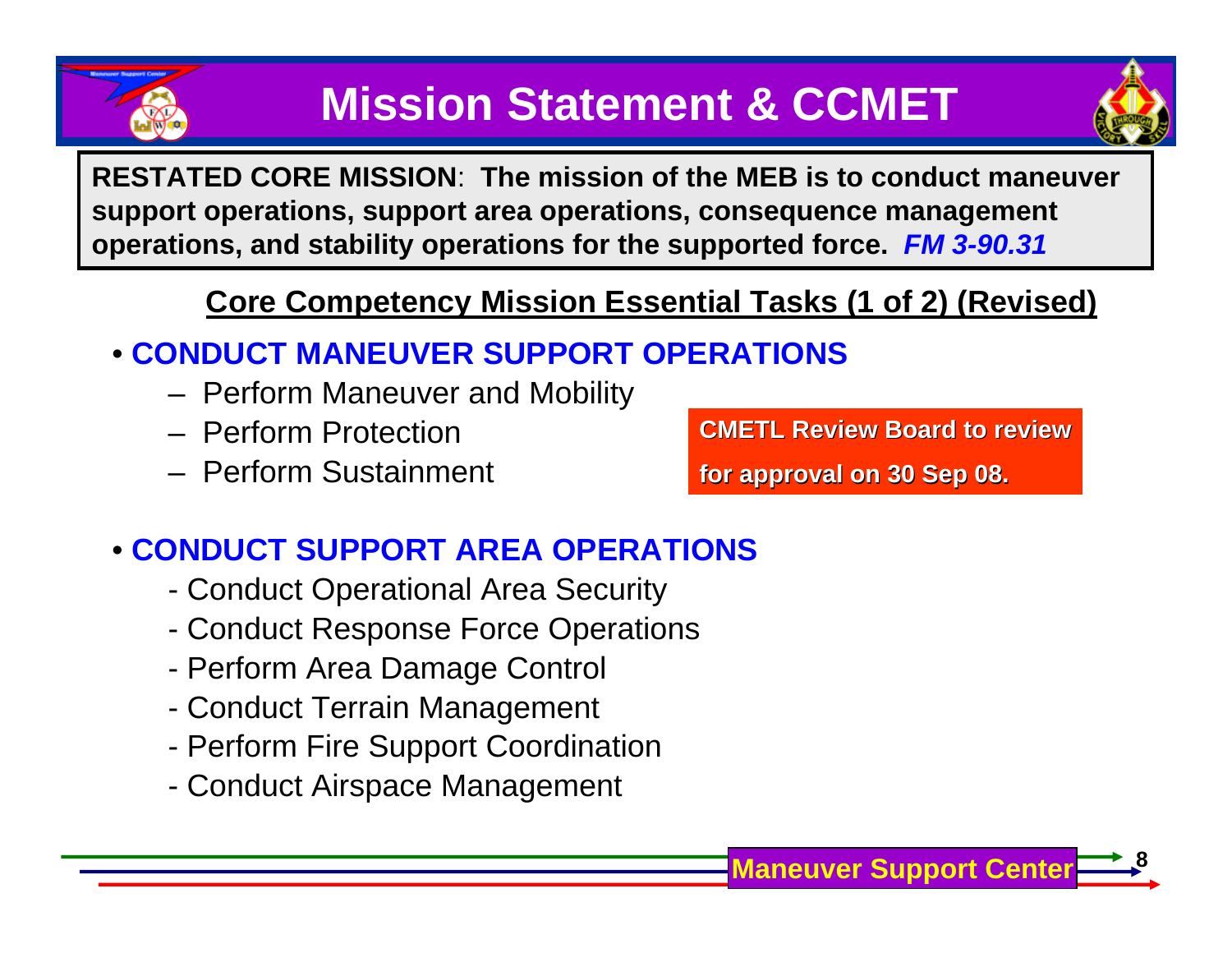



**RESTATED CORE MISSION**: **The mission of the MEB is to conduct maneuver support operations, support area operations, consequence management operations, and stability operations for the supported force.** *FM 3-90.31*

### **Core Competency Mission Essential Tasks (1 of 2) (Revised)**

### • **CONDUCT MANEUVER SUPPORT OPERATIONS**

- $-$  Perform Maneuver and Mobility
- Perform Protection
- Perform Sustainment

**CMETL Review Board to review**

**for approval on 30 Sep 08. for approval on 30 Sep 08.**

### • **CONDUCT SUPPORT AREA OPERATIONS**

- -Conduct Operational Area Security
- -Conduct Response Force Operations
- -Perform Area Damage Control
- -Conduct Terrain Management
- -Perform Fire Support Coordination
- -Conduct Airspace Management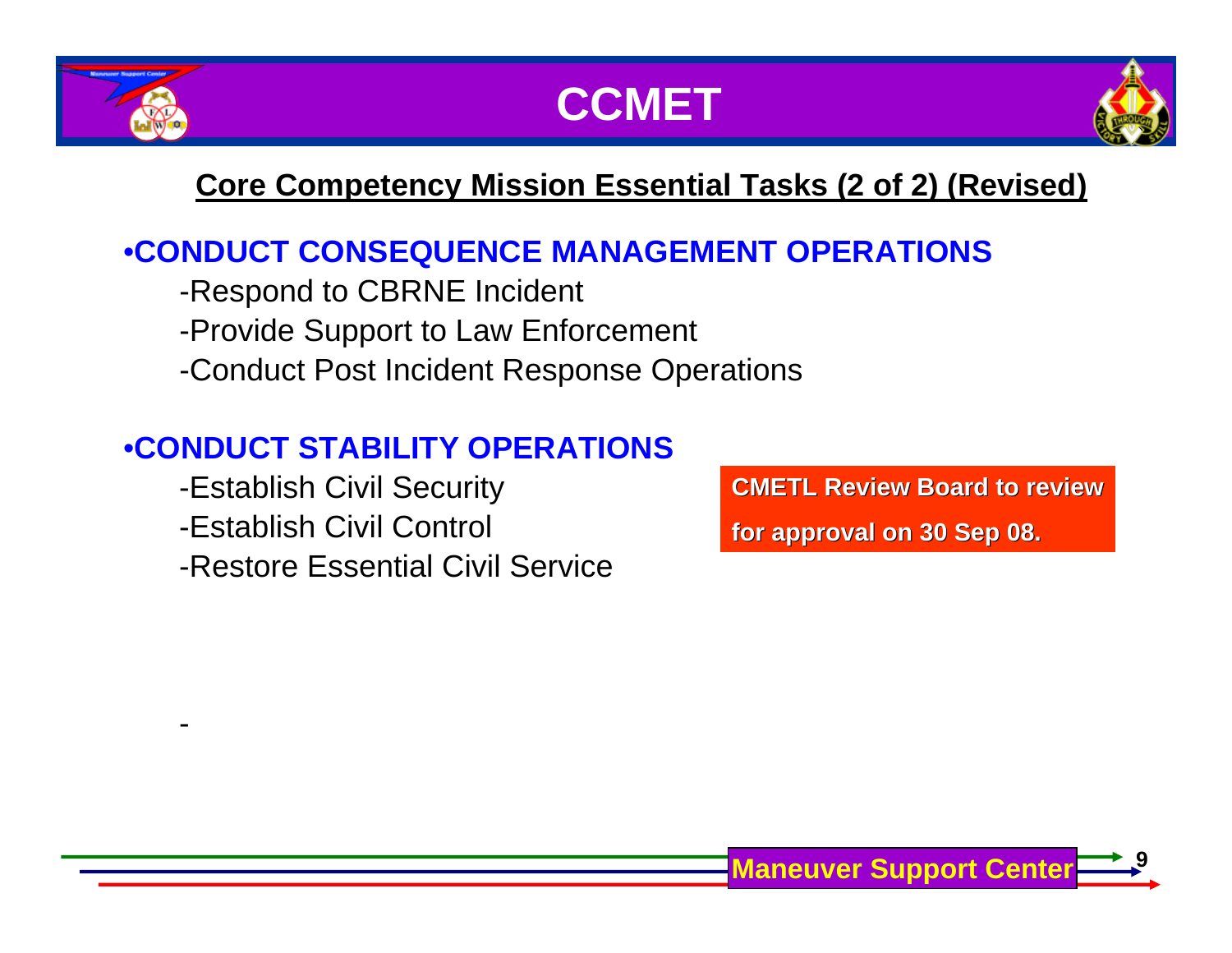





### **Core Competency Mission Essential Tasks (2 of 2) (Revised)**

### •**CONDUCT CONSEQUENCE MANAGEMENT OPERATIONS**

-Respond to CBRNE Incident

-Provide Support to Law Enforcement

-Conduct Post Incident Response Operations

### •**CONDUCT STABILITY OPERATIONS**

-Establish Civil Security

-Establish Civil Control

-Restore Essential Civil Service

**CMETL Review Board to review**

**for approval on 30 Sep 08. for approval on 30 Sep 08.**

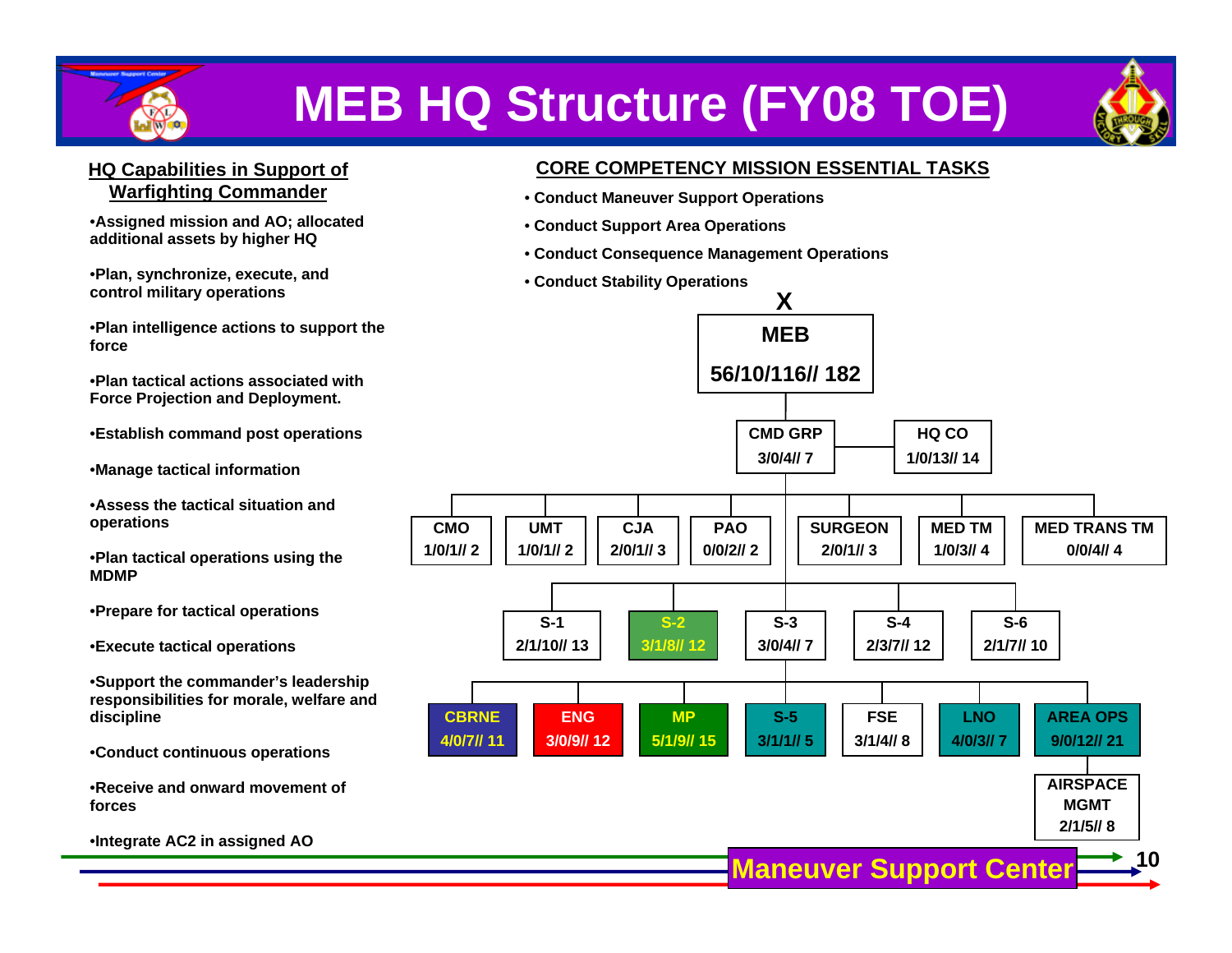

# **MEB HQ Structure (FY08 TOE)**



#### **HQ Capabilities in Support of Warfighting Commander**

•**Assigned mission and AO; allocated additional assets by higher HQ**

•**Plan, synchronize, execute, and control military operations**

•**Plan intelligence actions to support the force**

•**Plan tactical actions associated with Force Projection and Deployment.** 

•**Establish command post operations** 

•**Manage tactical information**

•**Assess the tactical situation and operations** 

•**Plan tactical operations using the MDMP**

•**Prepare for tactical operations** 

•**Execute tactical operations** 

•**Support the commander's leadership responsibilities for morale, welfare and discipline** 

•**Conduct continuous operations**

•**Receive and onward movement of forces**

•**Integrate AC2 in assigned AO**

#### **CORE COMPETENCY MISSION ESSENTIAL TASKS**

- **Conduct Maneuver Support Operations**
- **Conduct Support Area Operations**
- **Conduct Consequence Management Operations**
- **Conduct Stability Operations**

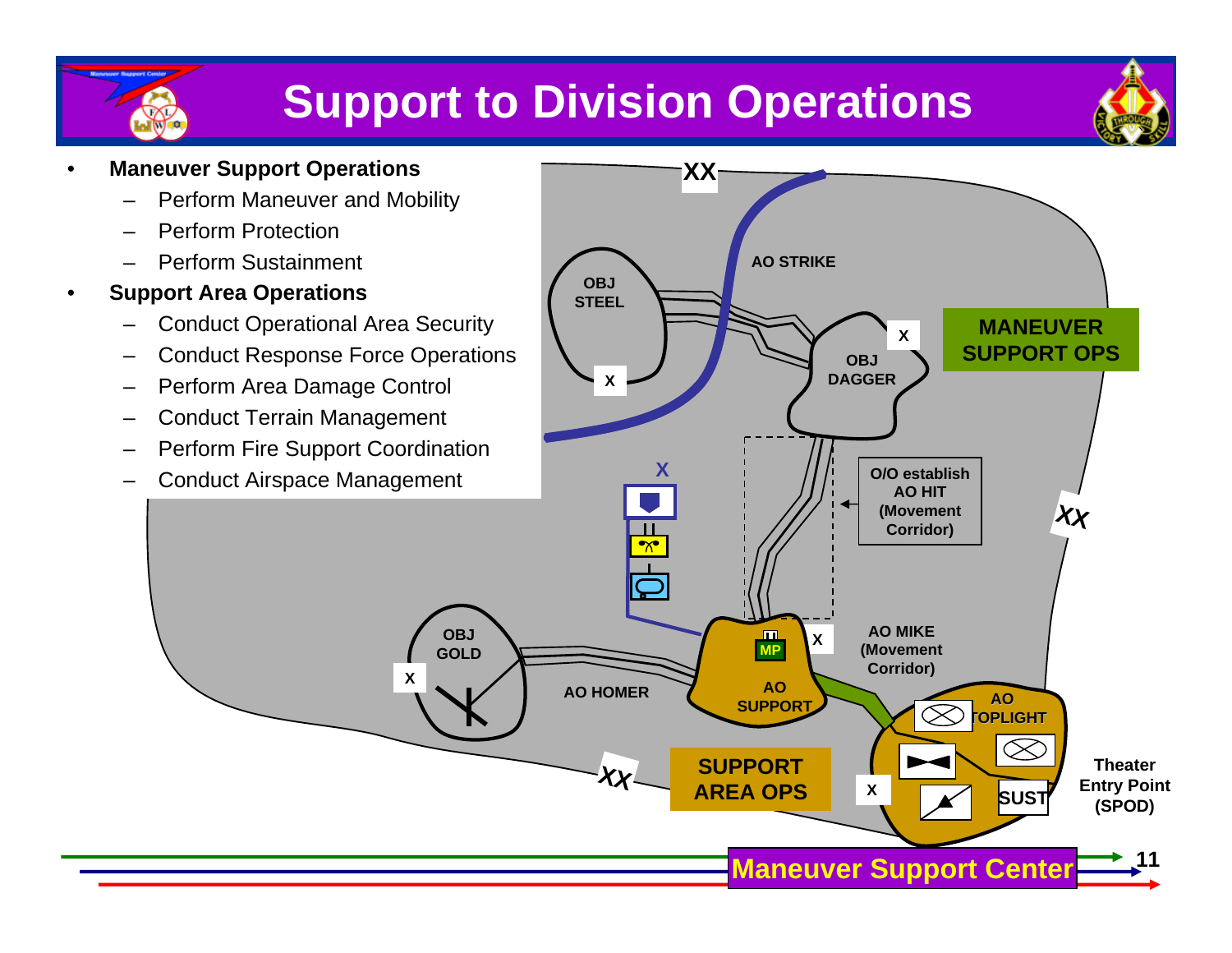# **Support to Division Operations**



#### • **Maneuver Support Operations**

- Perform Maneuver and Mobility
- Perform Protection
- Perform Sustainment
- **Support Area Operations**
	- Conduct Operational Area Security
	- Conduct Response Force Operations
	- Perform Area Damage Control
	- Conduct Terrain Management
	- Perform Fire Support Coordination
	- Conduct Airspace Management

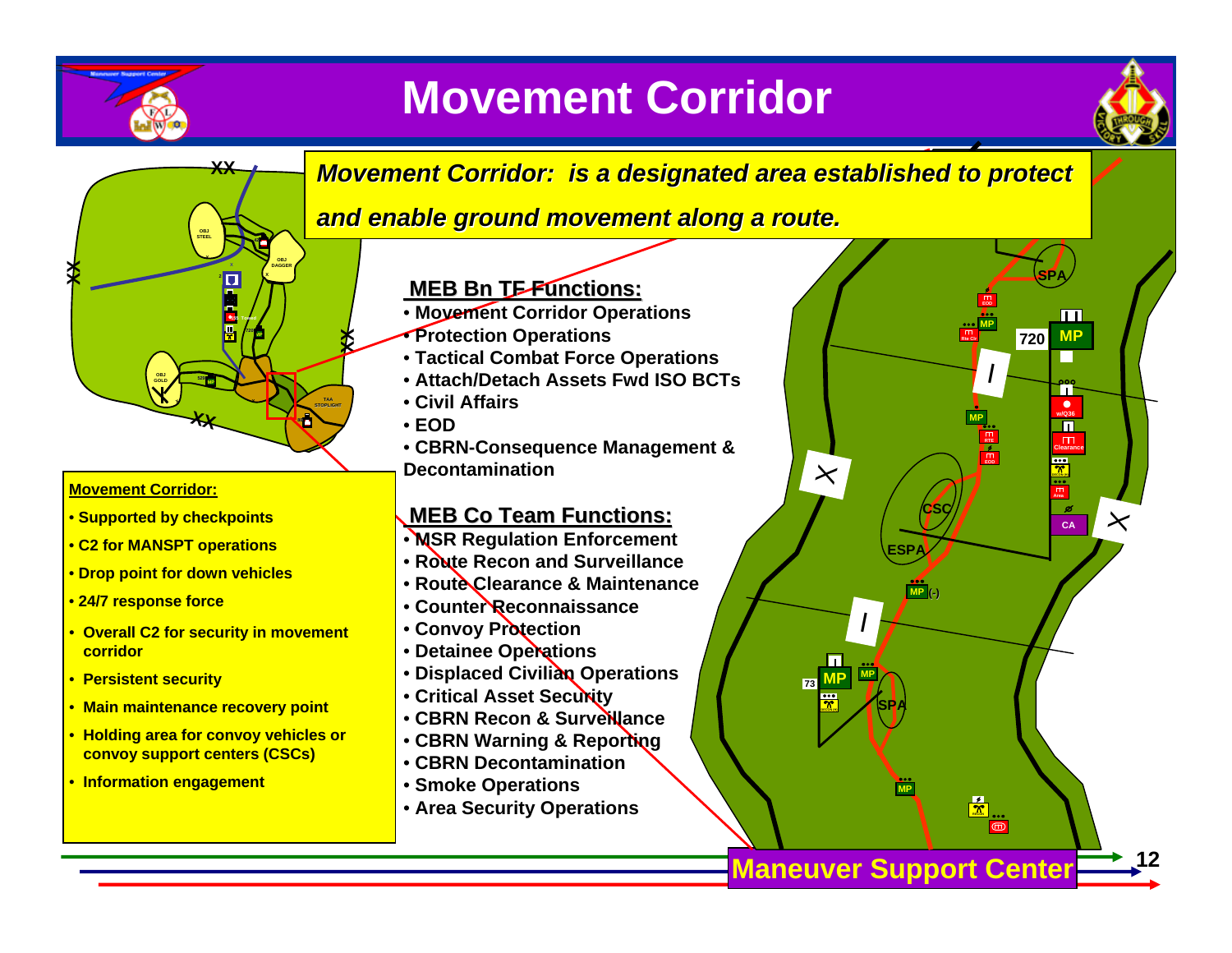

**XX**

**X**

**OBJGOLD**

**corridor**

### **Movement Corridor**



**MP**

**EOD**

I

**RTE**

**MP**

**SPA**

**720 MP**

**CA**

**Area**

 $\bullet$ 

**Clearance**

П

**Rte Clr**



**MP**

**SPA**

**MP**

**(-)**

**ESPA**

**CSC**

**MP**

I

**DECON (H)**

**12**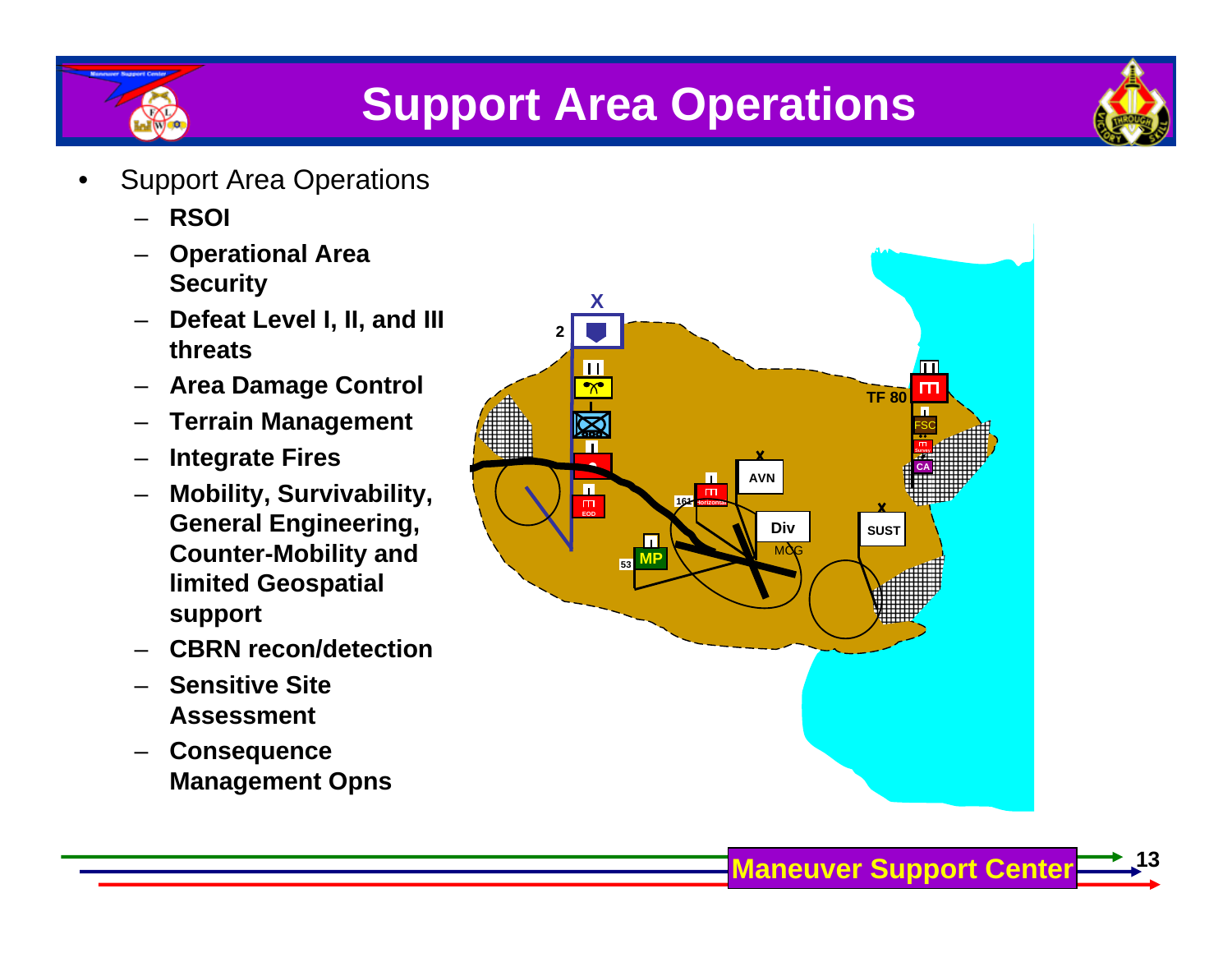



- Support Area Operations
	- **RSOI**
	- **Operational Area Security**
	- **Defeat Level I, II, and III threats**
	- **Area Damage Control**
	- **Terrain Management**
	- **Integrate Fires**
	- **Mobility, Survivability, General Engineering, Counter-Mobility and limited Geospatial support**
	- **CBRN recon/detection**
	- **Sensitive Site Assessment**
	- **Consequence Management Opns**

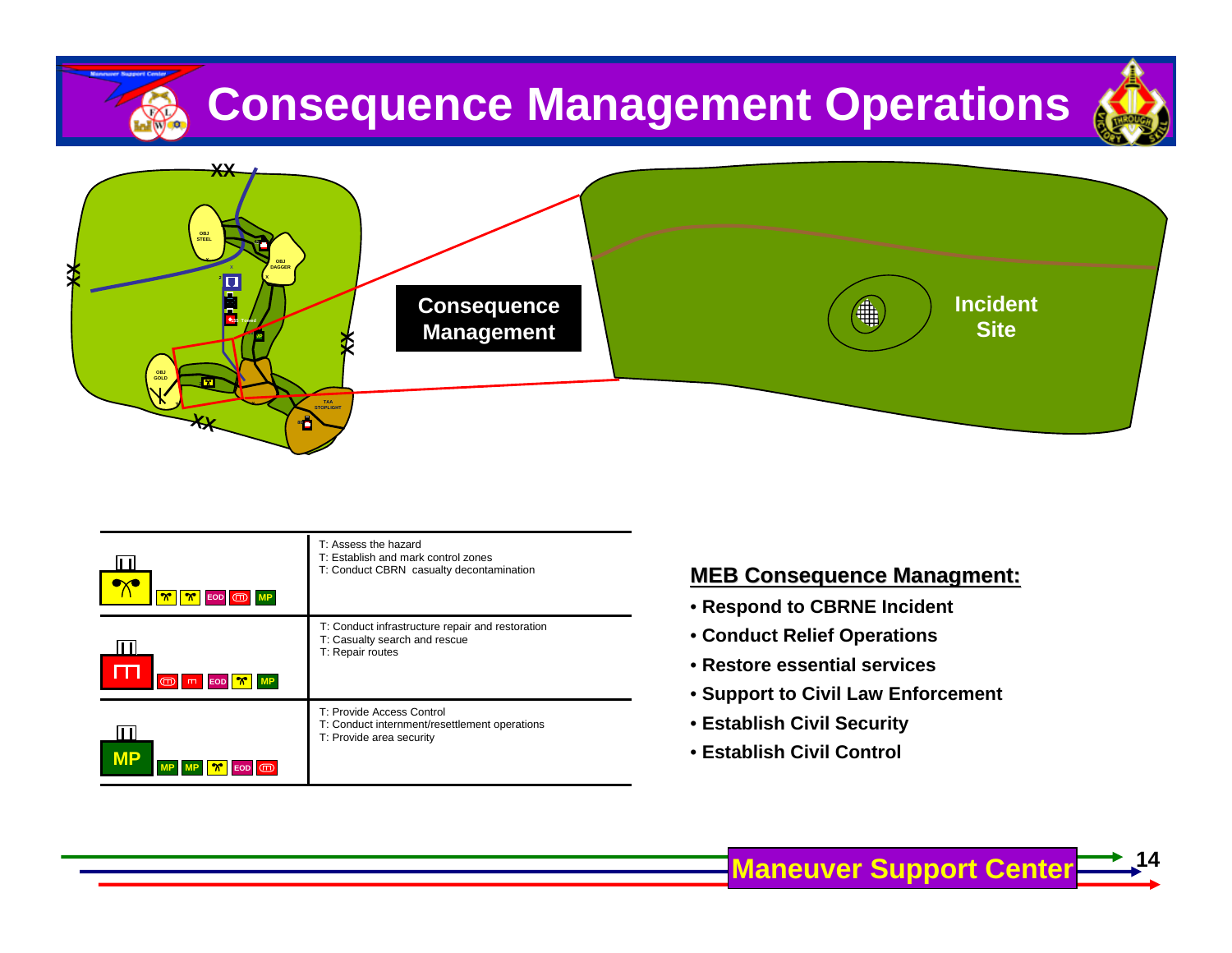





| $\frac{1}{\alpha}$ $\frac{1}{\alpha}$<br>EOD <b>OD</b> MP    | T: Assess the hazard<br>T: Establish and mark control zones<br>T: Conduct CBRN casualty decontamination | <b>MEB Consequence N</b><br>• Respond to CBRNE In                               |  |
|--------------------------------------------------------------|---------------------------------------------------------------------------------------------------------|---------------------------------------------------------------------------------|--|
| $\sqrt{\frac{m}{m}}$ MP<br>$\overline{CD}$<br>$m$ <b>EOD</b> | T: Conduct infrastructure repair and restoration<br>T: Casualty search and rescue<br>T: Repair routes   | • Conduct Relief Operat<br>• Restore essential serv<br>• Support to Civil Law E |  |
| II II<br><b>MP</b>                                           | T: Provide Access Control<br>T: Conduct internment/resettlement operations<br>T: Provide area security  | • Establish Civil Securit<br>• Establish Civil Control                          |  |

#### **MEB Consequence Managment:**

- **Respond to CBRNE Incident**
- **Conduct Relief Operations**
- **Restore essential services**
- **Support to Civil Law Enforcement**
- **Establish Civil Security**
-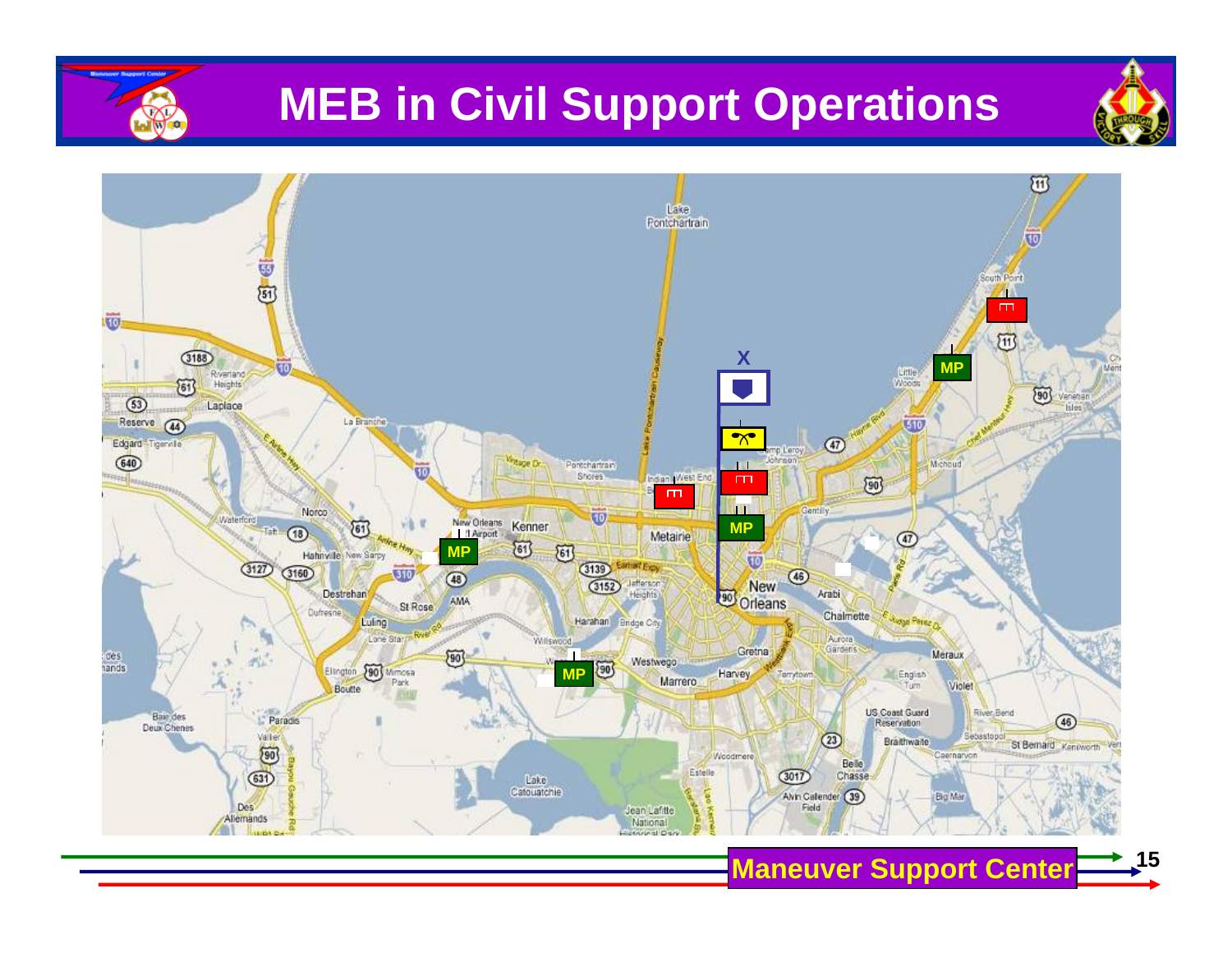

### **MEB in Civil Support Operations**



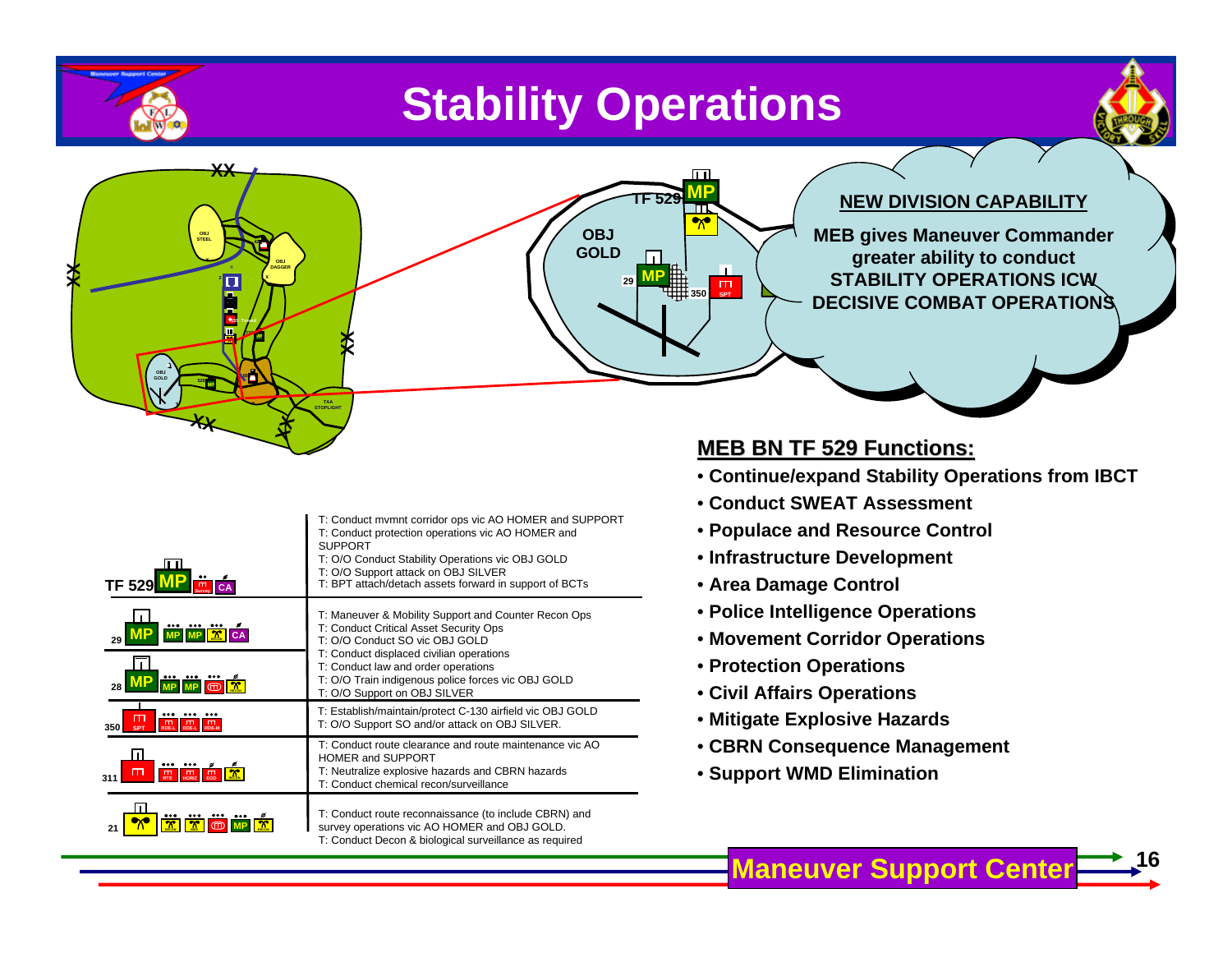### **Stability Operations**

**29MP**

**TF 529**

**MP**

 $\overline{\mathbf{v}}$ 

**350** $\prod_{\text{opt}}$ 

**OBJ GOLD**



**16**



| <b>TF 529</b><br>CA                                                                                     | T: Conduct mymnt corridor ops vic AO HOMER and SUPPORT<br>T: Conduct protection operations vic AO HOMER and<br><b>SUPPORT</b><br>T: O/O Conduct Stability Operations vic OBJ GOLD<br>T: O/O Support attack on OBJ SILVER<br>T: BPT attach/detach assets forward in support of BCTs |  |
|---------------------------------------------------------------------------------------------------------|------------------------------------------------------------------------------------------------------------------------------------------------------------------------------------------------------------------------------------------------------------------------------------|--|
| $^{\circ}$<br>29                                                                                        | T: Maneuver & Mobility Support and Counter Recon Ops<br>T: Conduct Critical Asset Security Ops<br>T: O/O Conduct SO vic OBJ GOLD<br>T: Conduct displaced civilian operations                                                                                                       |  |
| $\mathbf{\Phi}$<br>28                                                                                   | T: Conduct law and order operations<br>T: O/O Train indigenous police forces vic OBJ GOLD<br>T: O/O Support on OBJ SILVER                                                                                                                                                          |  |
| $\mathsf{m}$<br>Ē<br>$^{\text{m}}$<br>350<br><b>SPT</b><br><b>RDE-L</b><br><b>RDE-L</b><br><b>RDE-M</b> | T: Establish/maintain/protect C-130 airfield vic OBJ GOLD<br>T: O/O Support SO and/or attack on OBJ SILVER.                                                                                                                                                                        |  |
| $\mathcal{X}$<br>$^{\rm{m}}$<br>$\frac{\pi}{500}$<br>$^{\text{m}}$<br>31'<br><b>HORIZ</b><br><b>RTF</b> | T: Conduct route clearance and route maintenance vic AO<br>HOMER and SUPPORT<br>T: Neutralize explosive hazards and CBRN hazards<br>T: Conduct chemical recon/surveillance                                                                                                         |  |
| $\scriptstyle\bm{\pi}$<br>21                                                                            | T: Conduct route reconnaissance (to include CBRN) and<br>survey operations vic AO HOMER and OBJ GOLD.<br>T: Conduct Decon & biological surveillance as required                                                                                                                    |  |

#### **MEB BN TF 529 Functions: MEB BN TF 529 Functions:**

• **Continue/expand Stability Operations from IBCT**

**X**

**28 MP MEB gives Maneuver Commander** 

**greater ability to conduct** 

**NEW DIVISION CAPABILITY**

**311 STABILITY OPERATIONS ICW** 

**DECISIVE COMBAT OPERATIONS**

- **Conduct SWEAT Assessment**
- **Populace and Resource Control**
- **Infrastructure Development**
- **Area Damage Control**
- **Police Intelligence Operations**
- **Movement Corridor Operations**
- **Protection Operations**
- **Civil Affairs Operations**
- **Mitigate Explosive Hazards**
- **CBRN Consequence Management**
- **Support WMD Elimination**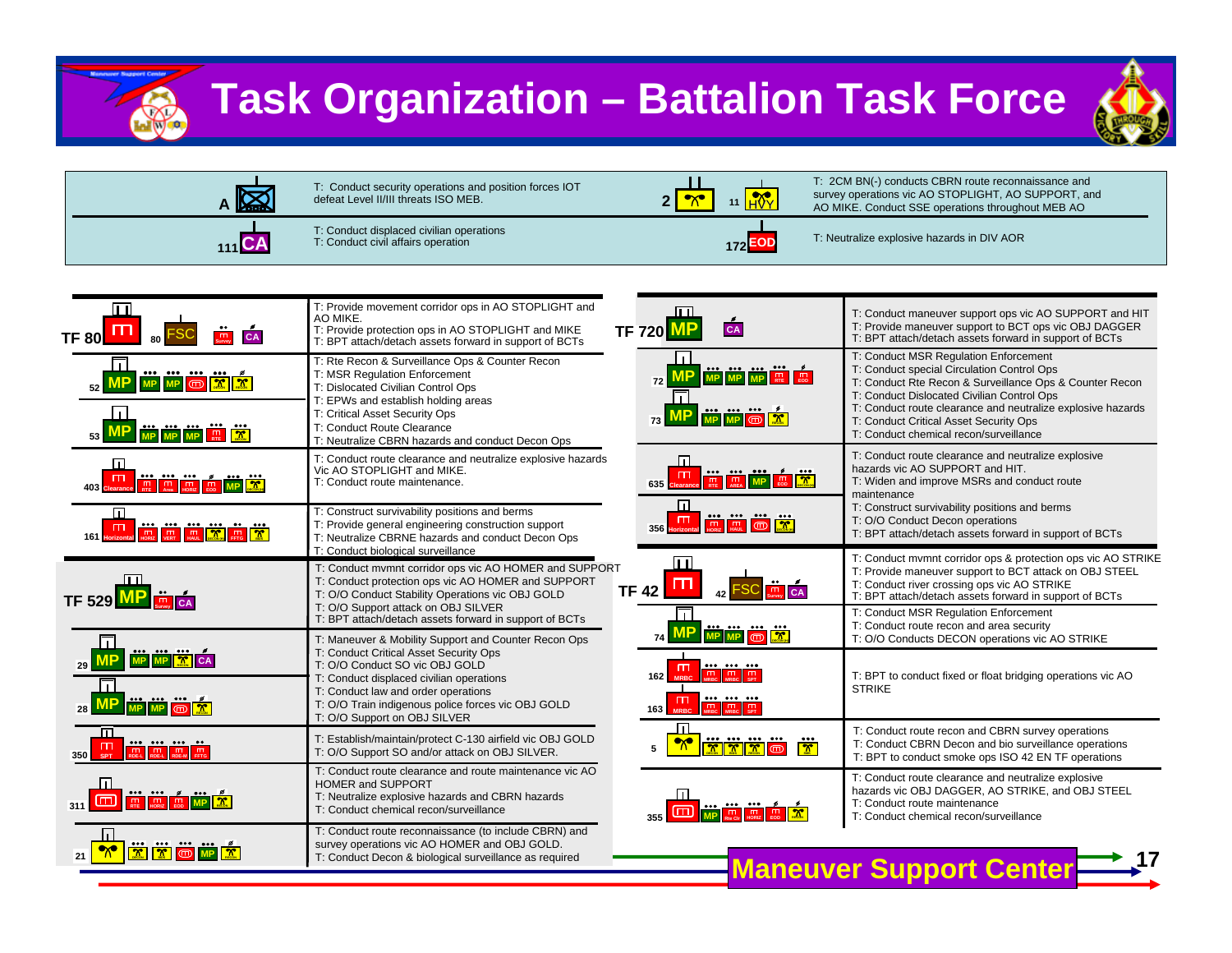

### **Task Organization – Battalion Task Force**





| 冚<br>CA<br>TF 80l                                                                                       | T: Provide movement corridor ops in AO STOPLIGHT and<br>AO MIKE.<br>T: Provide protection ops in AO STOPLIGHT and MIKE<br>T: BPT attach/detach assets forward in support of BCTs                                                                                                                          | ान<br>$c_A$<br><b>TF 720 MP</b>                                                                                                                                                                                                                                                                                                                                           | T: Conduct maneuver support ops vic AO SUPPORT and HIT<br>T: Provide maneuver support to BCT ops vic OBJ DAGGER<br>T: BPT attach/detach assets forward in support of BCTs                                                                                                                                                                       |
|---------------------------------------------------------------------------------------------------------|-----------------------------------------------------------------------------------------------------------------------------------------------------------------------------------------------------------------------------------------------------------------------------------------------------------|---------------------------------------------------------------------------------------------------------------------------------------------------------------------------------------------------------------------------------------------------------------------------------------------------------------------------------------------------------------------------|-------------------------------------------------------------------------------------------------------------------------------------------------------------------------------------------------------------------------------------------------------------------------------------------------------------------------------------------------|
| l 1 I<br>MP MP © X X<br>LП<br><b>MP</b> MP MP <b>RE</b>                                                 | T: Rte Recon & Surveillance Ops & Counter Recon<br>T: MSR Regulation Enforcement<br>T: Dislocated Civilian Control Ops<br>T: EPWs and establish holding areas<br>T: Critical Asset Security Ops<br>T: Conduct Route Clearance                                                                             | H<br><b>EXAMPLE 1999</b><br>72<br>$\Box$<br><b>FOR THE REAL PROPERTY</b>                                                                                                                                                                                                                                                                                                  | T: Conduct MSR Regulation Enforcement<br>T: Conduct special Circulation Control Ops<br>T: Conduct Rte Recon & Surveillance Ops & Counter Recon<br>T: Conduct Dislocated Civilian Control Ops<br>T: Conduct route clearance and neutralize explosive hazards<br>T: Conduct Critical Asset Security Ops<br>T: Conduct chemical recon/surveillance |
| 匝<br><u>in hii m</u><br>$\blacksquare$<br>$\frac{\beta}{m}$<br><b>The Re</b><br>$\overline{\mathbf{r}}$ | T: Neutralize CBRN hazards and conduct Decon Ops<br>T: Conduct route clearance and neutralize explosive hazards<br>Vic AO STOPLIGHT and MIKE.<br>T: Conduct route maintenance.                                                                                                                            | Ш<br>$\frac{1}{\pi}$ $\frac{1}{\pi}$ $\frac{1}{\pi}$ $\frac{1}{\pi}$ $\frac{1}{\pi}$ $\frac{1}{\pi}$ $\frac{1}{\pi}$ $\frac{1}{\pi}$ $\frac{1}{\pi}$ $\frac{1}{\pi}$ $\frac{1}{\pi}$ $\frac{1}{\pi}$ $\frac{1}{\pi}$ $\frac{1}{\pi}$ $\frac{1}{\pi}$ $\frac{1}{\pi}$ $\frac{1}{\pi}$ $\frac{1}{\pi}$ $\frac{1}{\pi}$ $\frac{1}{\pi}$<br>635                               | T: Conduct route clearance and neutralize explosive<br>hazards vic AO SUPPORT and HIT.<br>T: Widen and improve MSRs and conduct route<br>maintenance                                                                                                                                                                                            |
| 匝<br><b>THE READ PROPERTY AND LOCAL PROPERTY AND READ PROPERTY</b><br>$\Box$                            | T: Construct survivability positions and berms<br>T: Provide general engineering construction support<br>T: Neutralize CBRNE hazards and conduct Decon Ops<br>T: Conduct biological surveillance                                                                                                          | 同<br>$\begin{picture}(180,10) \put(0,0){\line(1,0){10}} \put(10,0){\line(1,0){10}} \put(10,0){\line(1,0){10}} \put(10,0){\line(1,0){10}} \put(10,0){\line(1,0){10}} \put(10,0){\line(1,0){10}} \put(10,0){\line(1,0){10}} \put(10,0){\line(1,0){10}} \put(10,0){\line(1,0){10}} \put(10,0){\line(1,0){10}} \put(10,0){\line(1,0){10}} \put(10,0){\line($<br>$\Box$<br>356 | T: Construct survivability positions and berms<br>T: O/O Conduct Decon operations<br>T: BPT attach/detach assets forward in support of BCTs                                                                                                                                                                                                     |
| $\begin{array}{c} \text{III} \\ \text{TF 529} \\ \text{MP} \\ \text{SW 6A} \end{array}$                 | T: Conduct mvmnt corridor ops vic AO HOMER and SUPPORT<br>T: Conduct protection ops vic AO HOMER and SUPPORT<br>T: O/O Conduct Stability Operations vic OBJ GOLD<br>T: O/O Support attack on OBJ SILVER<br>T: BPT attach/detach assets forward in support of BCTs                                         | $\mathbf{\Pi}$<br>m<br>$\frac{1}{\text{Survey}}$ CA<br>FSC.<br><b>TF 42</b><br>$\Box$                                                                                                                                                                                                                                                                                     | T: Conduct mvmnt corridor ops & protection ops vic AO STRIKE<br>T: Provide maneuver support to BCT attack on OBJ STEEL<br>T: Conduct river crossing ops vic AO STRIKE<br>T: BPT attach/detach assets forward in support of BCTs<br>T: Conduct MSR Regulation Enforcement<br>T: Conduct route recon and area security                            |
| MP MP X CA<br>Ш<br><u>WP MP © X</u>                                                                     | T: Maneuver & Mobility Support and Counter Recon Ops<br>T: Conduct Critical Asset Security Ops<br>T: O/O Conduct SO vic OBJ GOLD<br>T: Conduct displaced civilian operations<br>T: Conduct law and order operations<br>T: O/O Train indigenous police forces vic OBJ GOLD<br>T: O/O Support on OBJ SILVER | <b>MP MP</b> of <b>X</b><br>74<br><br>ш<br>$\begin{array}{ c c c }\n\hline\nm & m & m \\ \hline\nMRBC & MRBC & SPT\n\end{array}$<br>162<br><b>MRBC</b><br><br>$\blacksquare$<br>$\begin{array}{ c c c }\n\hline\n\text{m} & \text{m} & \text{m} \\ \text{MRBC} & \text{MRBC} & \text{SPT} \\ \hline\n\end{array}$<br>163 MRBC                                             | T: O/O Conducts DECON operations vic AO STRIKE<br>T: BPT to conduct fixed or float bridging operations vic AO<br><b>STRIKE</b>                                                                                                                                                                                                                  |
| <b>EXAMPLE THE REAL PROPERTY AND REAL PROPERTY</b><br>$\mathbb{T}_{\text{spr}}$<br>350 <sup>1</sup>     | T: Establish/maintain/protect C-130 airfield vic OBJ GOLD<br>T: O/O Support SO and/or attack on OBJ SILVER.                                                                                                                                                                                               | Ш<br><br><br>$\frac{1}{\alpha}$<br>$\overline{\mathbf{r}}$<br>$\sqrt{\frac{2}{n}}$<br>ന്ന<br>5                                                                                                                                                                                                                                                                            | T: Conduct route recon and CBRN survey operations<br>T: Conduct CBRN Decon and bio surveillance operations<br>T: BPT to conduct smoke ops ISO 42 EN TF operations                                                                                                                                                                               |
| <b>EXERCISE OF THE REAL PROPERTY AND INTERNATIONAL PROPERTY</b>                                         | T: Conduct route clearance and route maintenance vic AO<br><b>HOMER and SUPPORT</b><br>T: Neutralize explosive hazards and CBRN hazards<br>T: Conduct chemical recon/surveillance                                                                                                                         | <b>in M</b><br>$\cdot \frac{6}{20}$<br>m                                                                                                                                                                                                                                                                                                                                  | T: Conduct route clearance and neutralize explosive<br>hazards vic OBJ DAGGER, AO STRIKE, and OBJ STEEL<br>T: Conduct route maintenance<br>T: Conduct chemical recon/surveillance                                                                                                                                                               |
| <u>WKGWS</u>                                                                                            | T: Conduct route reconnaissance (to include CBRN) and<br>survey operations vic AO HOMER and OBJ GOLD.<br>T: Conduct Decon & biological surveillance as required                                                                                                                                           |                                                                                                                                                                                                                                                                                                                                                                           | <b>Maneuver Support Center</b>                                                                                                                                                                                                                                                                                                                  |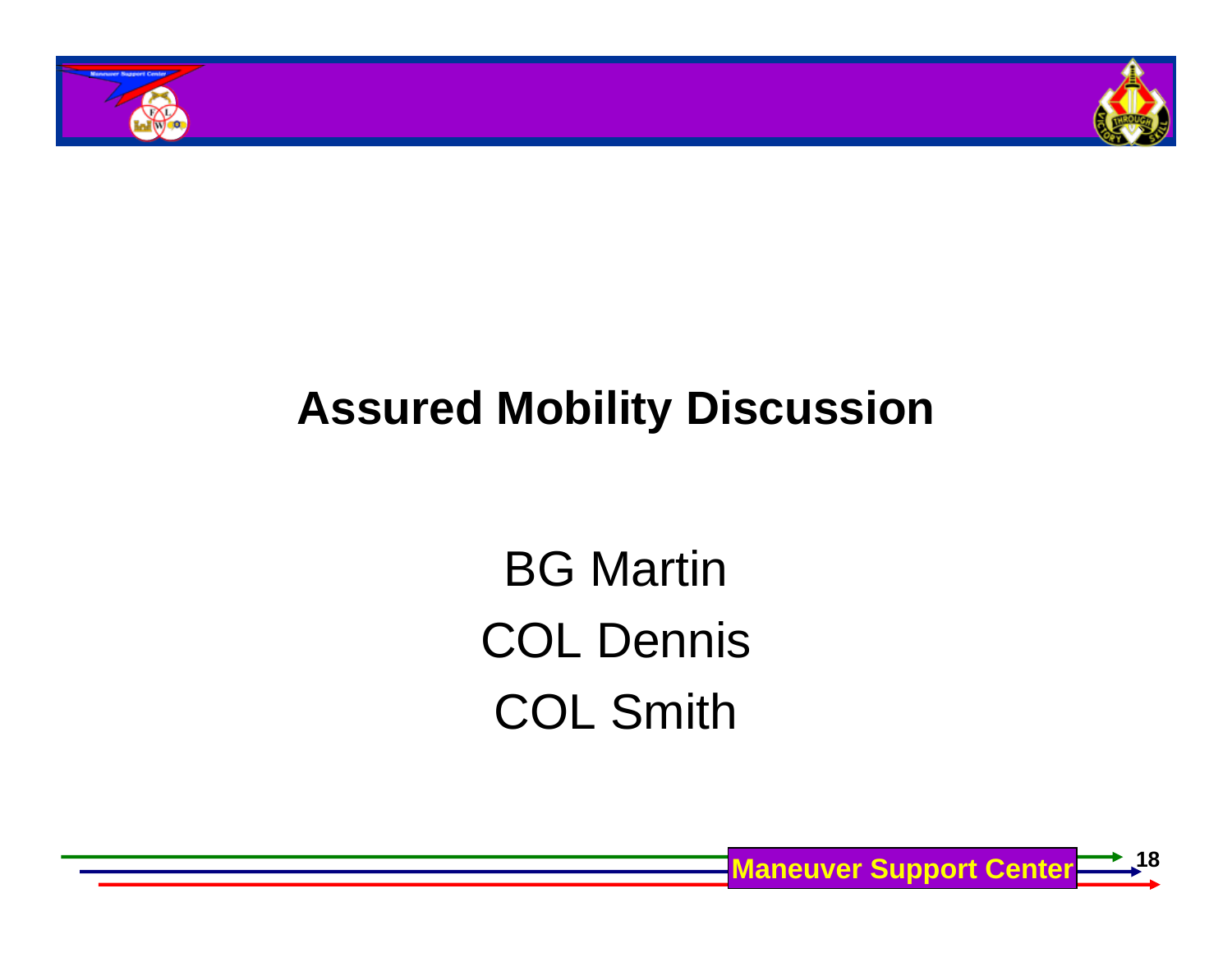



### **Assured Mobility Discussion**

BG Martin COL Dennis COL Smith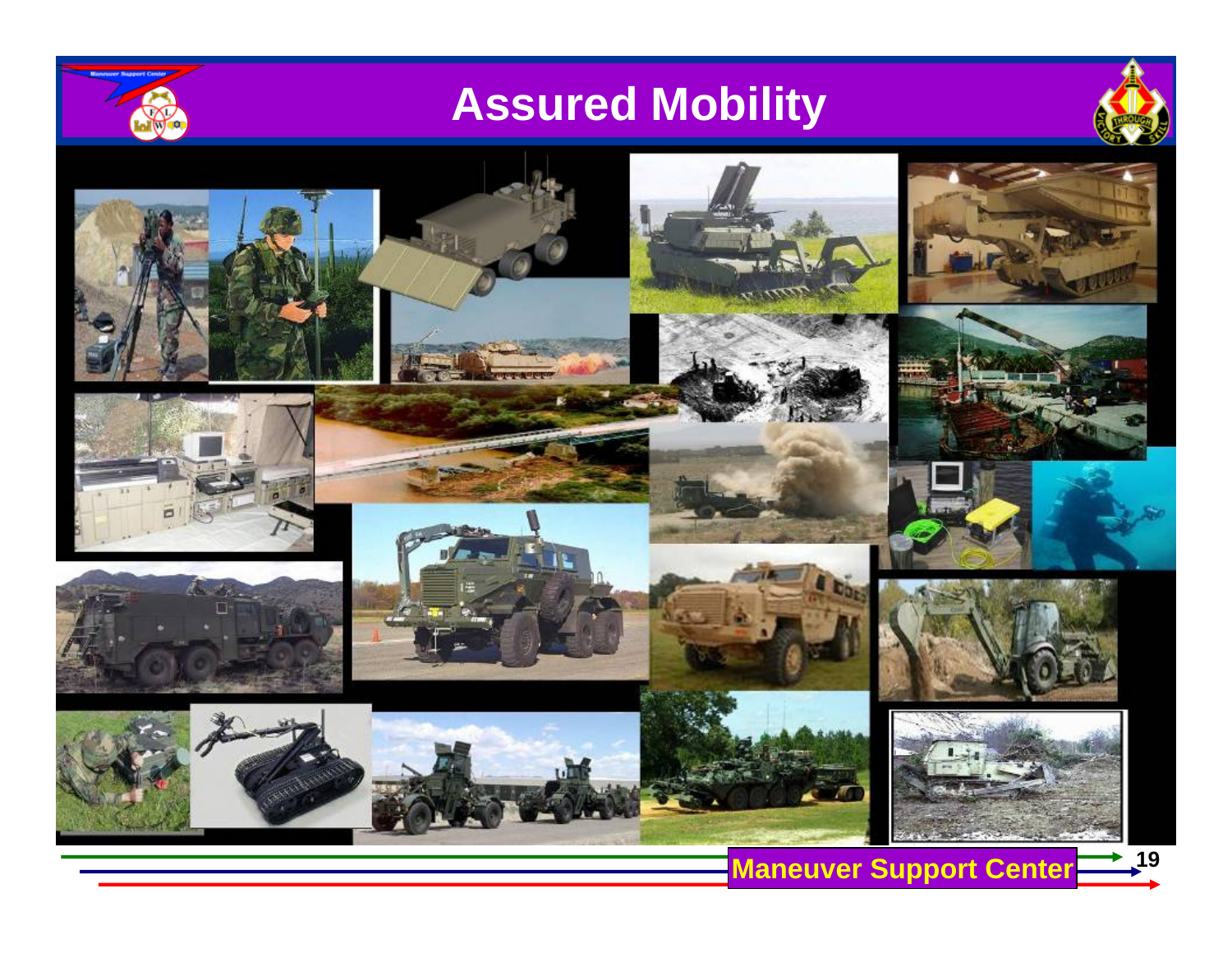

# **Assured Mobility**























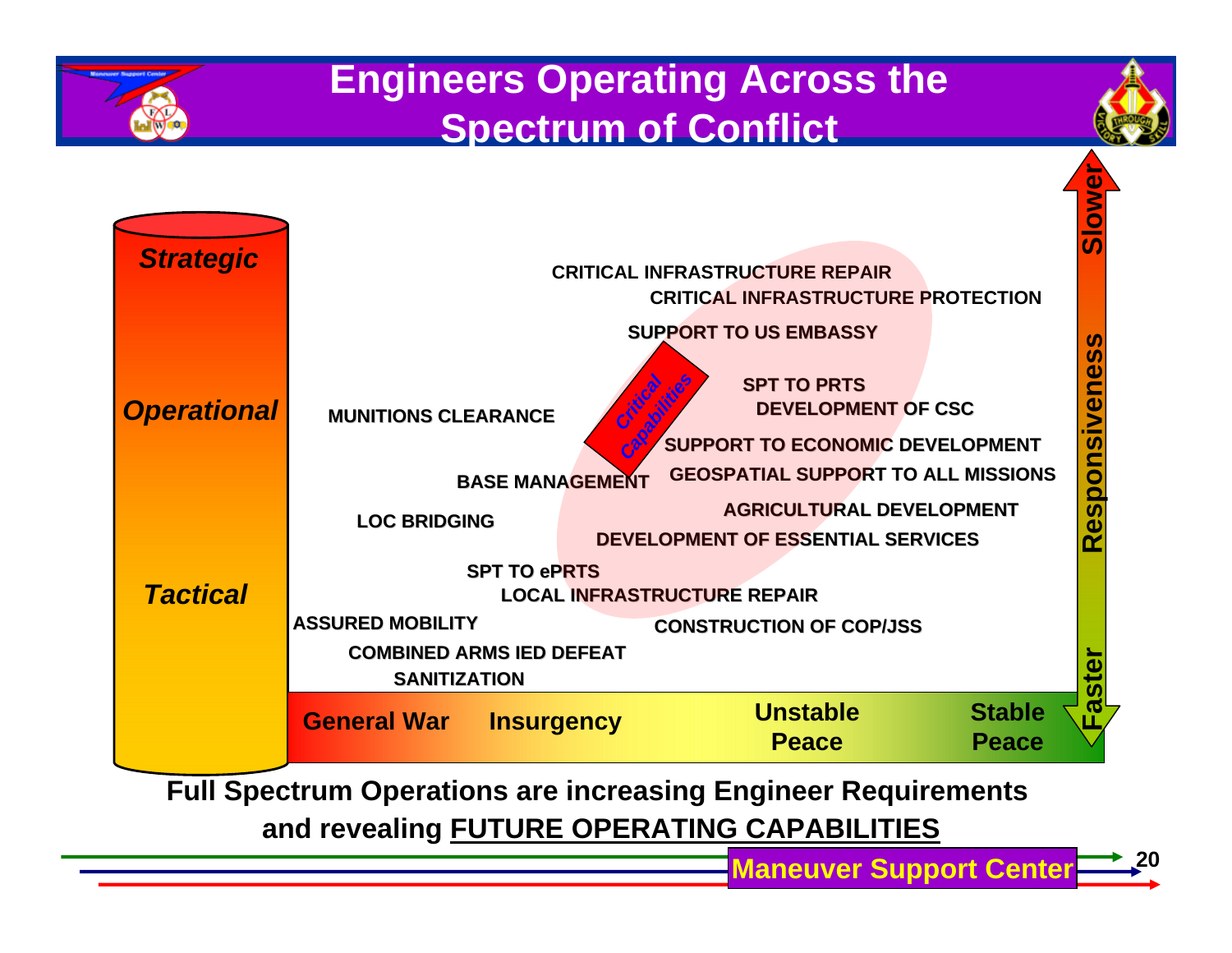





**Full Spectrum Operations are increasing Engineer Requirements and revealing FUTURE OPERATING CAPABILITIES**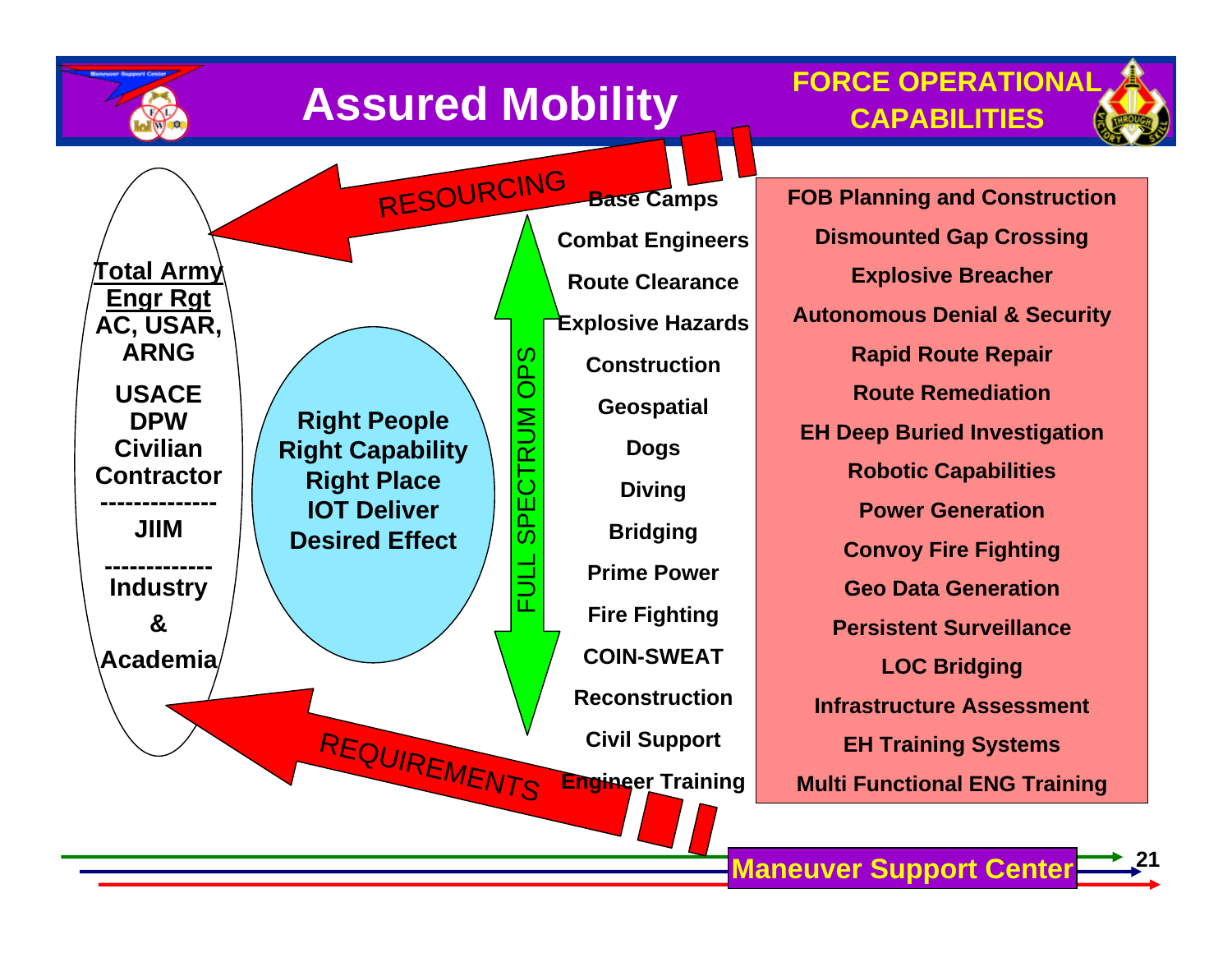





RESOURCING **Total Army Engr Rgt AC, USAR, ARNG**OPS FULL SPECTRUM OPS **USACE**  CTRUM **Right People DPW Civilian Right Capability Contractor Right Place SPE IOT Deliver -------------- JIIMDesired Effect------------- Industry &Academia**REQUIREMENTS

**Base Camps Combat Engineers Route ClearanceExplosive Hazards ConstructionGeospatial Dogs Diving Bridging Prime PowerFire Fighting COIN-SWEATReconstructionCivil Support Engineer Training**

**FOB Planning and Construction Dismounted Gap Crossing Explosive Breacher Autonomous Denial & Security Rapid Route Repair Route RemediationEH Deep Buried Investigation Robotic Capabilities Power GenerationConvoy Fire Fighting Geo Data GenerationPersistent SurveillanceLOC Bridging Infrastructure AssessmentEH Training Systems Multi Functional ENG Training**

**Maneuver Support Center**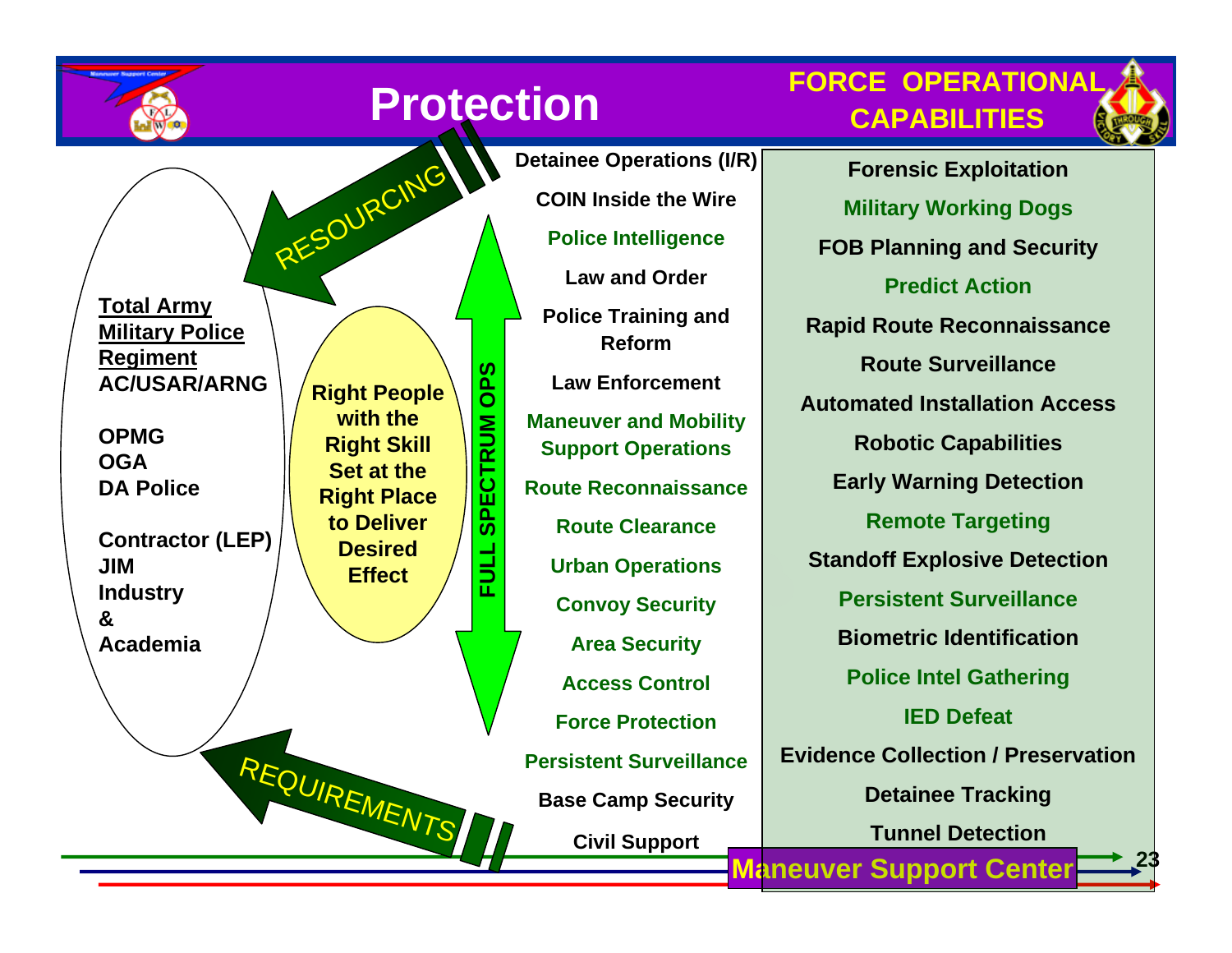

# **Protection**

**FULL SPECTRUM OPS**

글<br>군

**SPECTRUM** 

**SaO** 

**FORCE OPERATIONALCAPABILITIES**



**23**

**Total Army Military Police Regiment AC/USAR/ARNG**

**OPMGOGADA Police** 

**Contractor (LEP) JIMIndustr y &Academia**

**Right People with the Right Skill Set at the Right Place to Deliver Desired Effect**

RESOURCING

REQUIREMENTS

 **Maneuver Support Center Police Training and ReformLaw EnforcementManeuver and Mobility Support Operations Route Reconnaissance Route ClearanceUrban Operations Convoy Security Area Security Access ControlForce ProtectionPersistent SurveillanceBase Camp Security Civil Support**

**Detainee Operations (I/R)**

**COIN Inside the Wire**

**Police Intellige nce**

**Law and Order**

**Forensic Exploitation Militar y Working Dogs FOB Planning and Security Predict ActionRapid Route Reconnaissance Route SurveillanceAutomated Installation AccessRobotic Capabilities Earl y Warning Detection Remote Targetin g Standoff Explosive Detection Persistent SurveillanceBiometric IdentificationPolice Intel Gathering IED DefeatEvidence Collection / Preservation Detainee Tracking Tunnel Detection**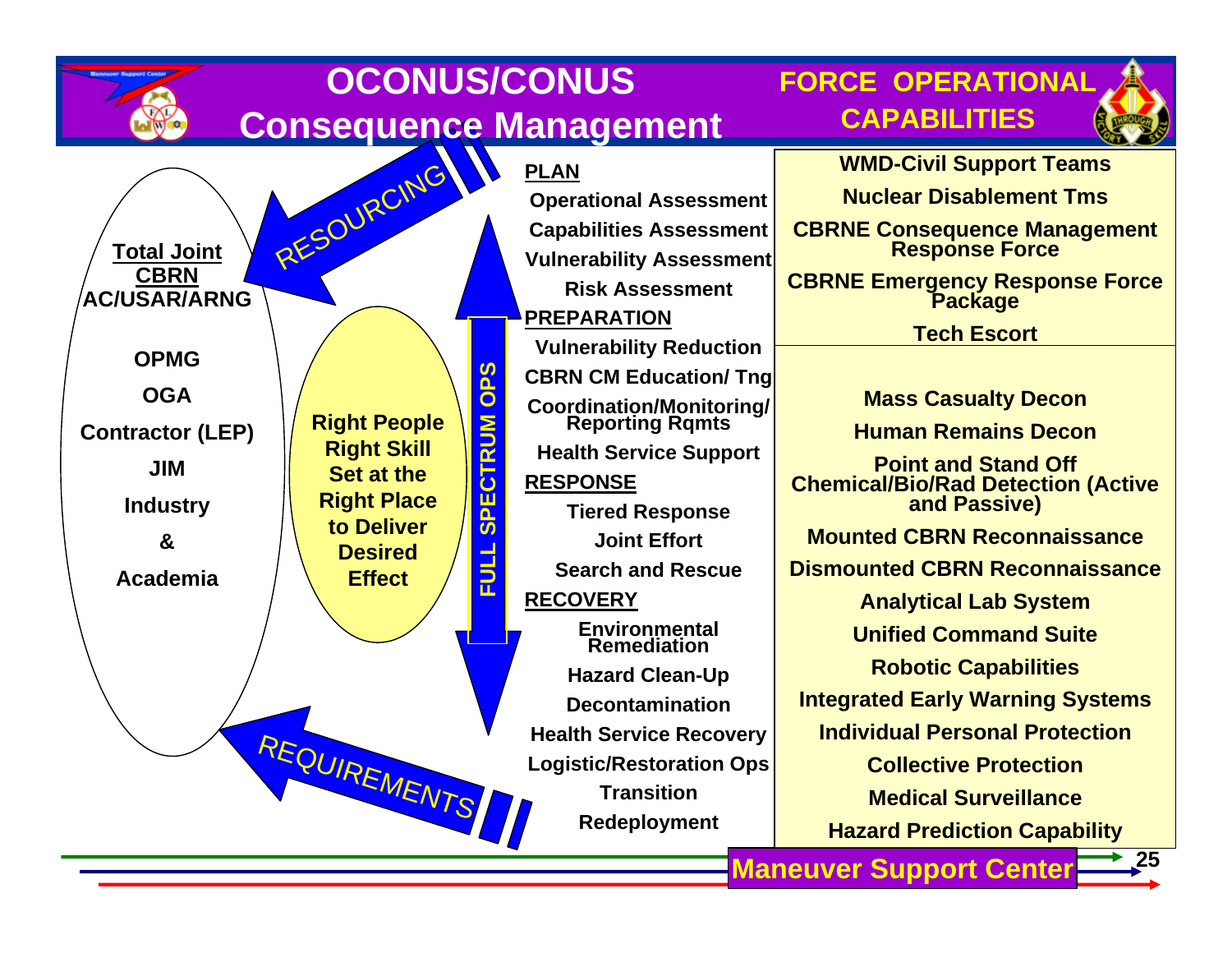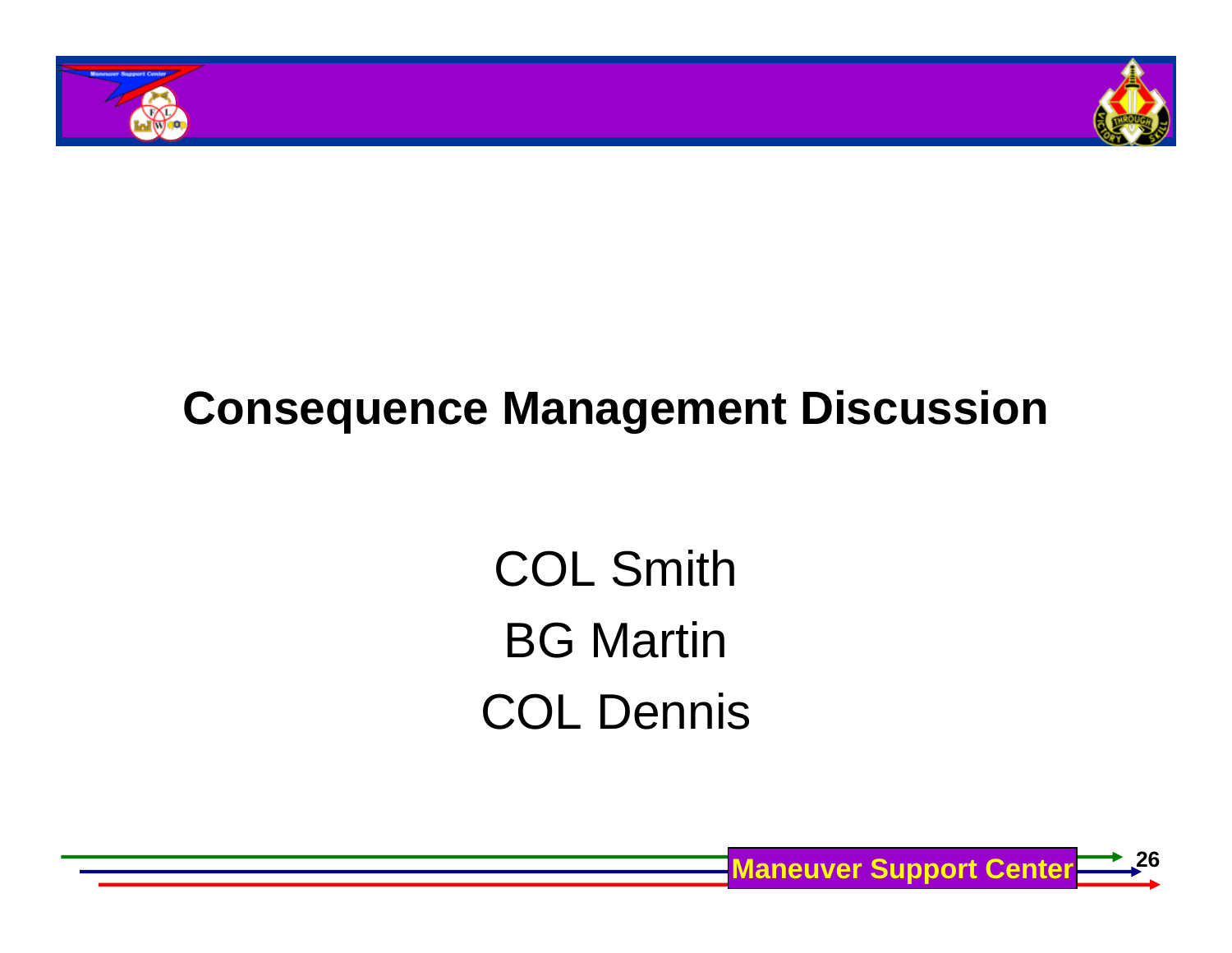



# **Consequence Management Discussion**

COL Smith BG Martin COL Dennis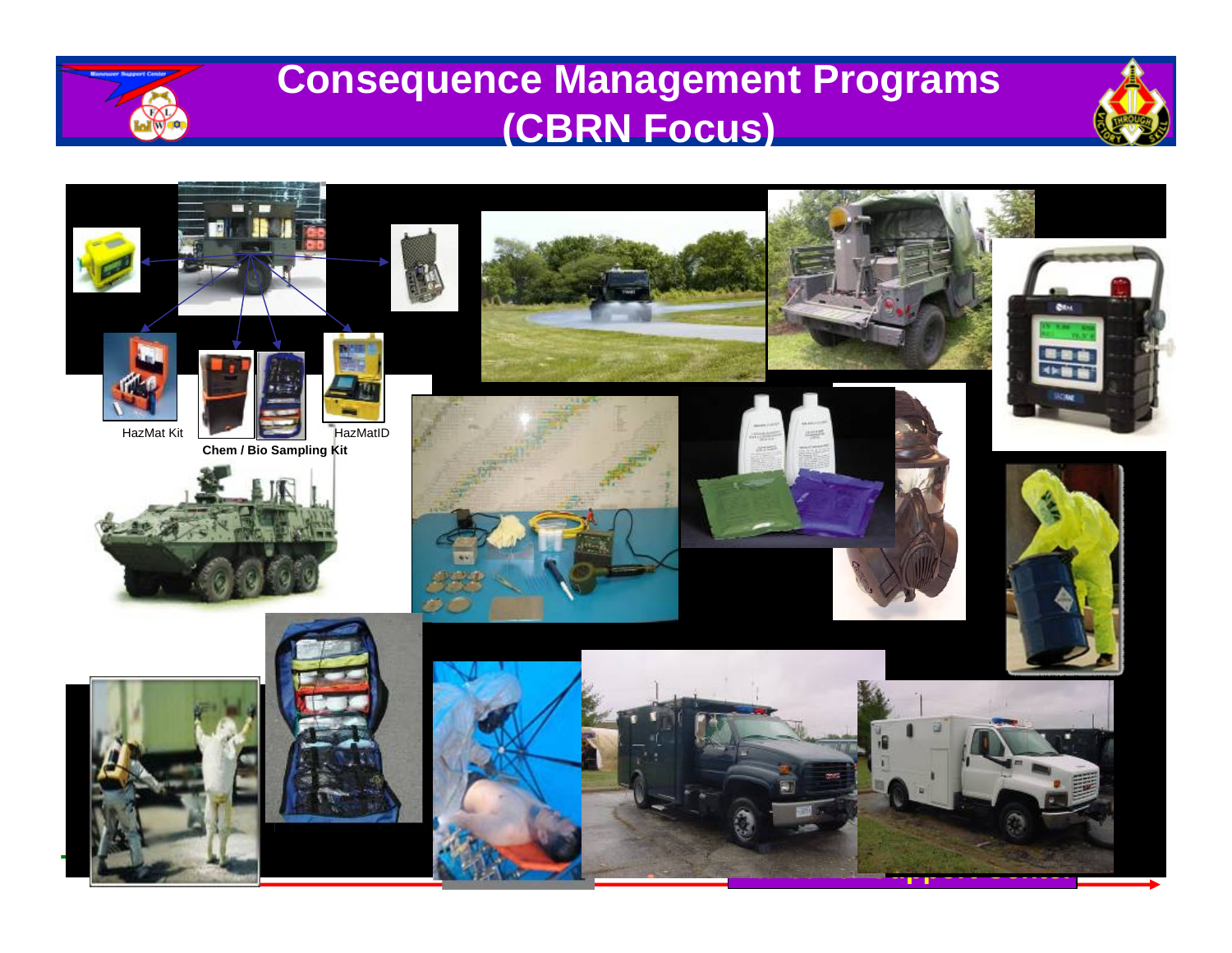

### **Consequence Management Programs (CBRN Focus)**



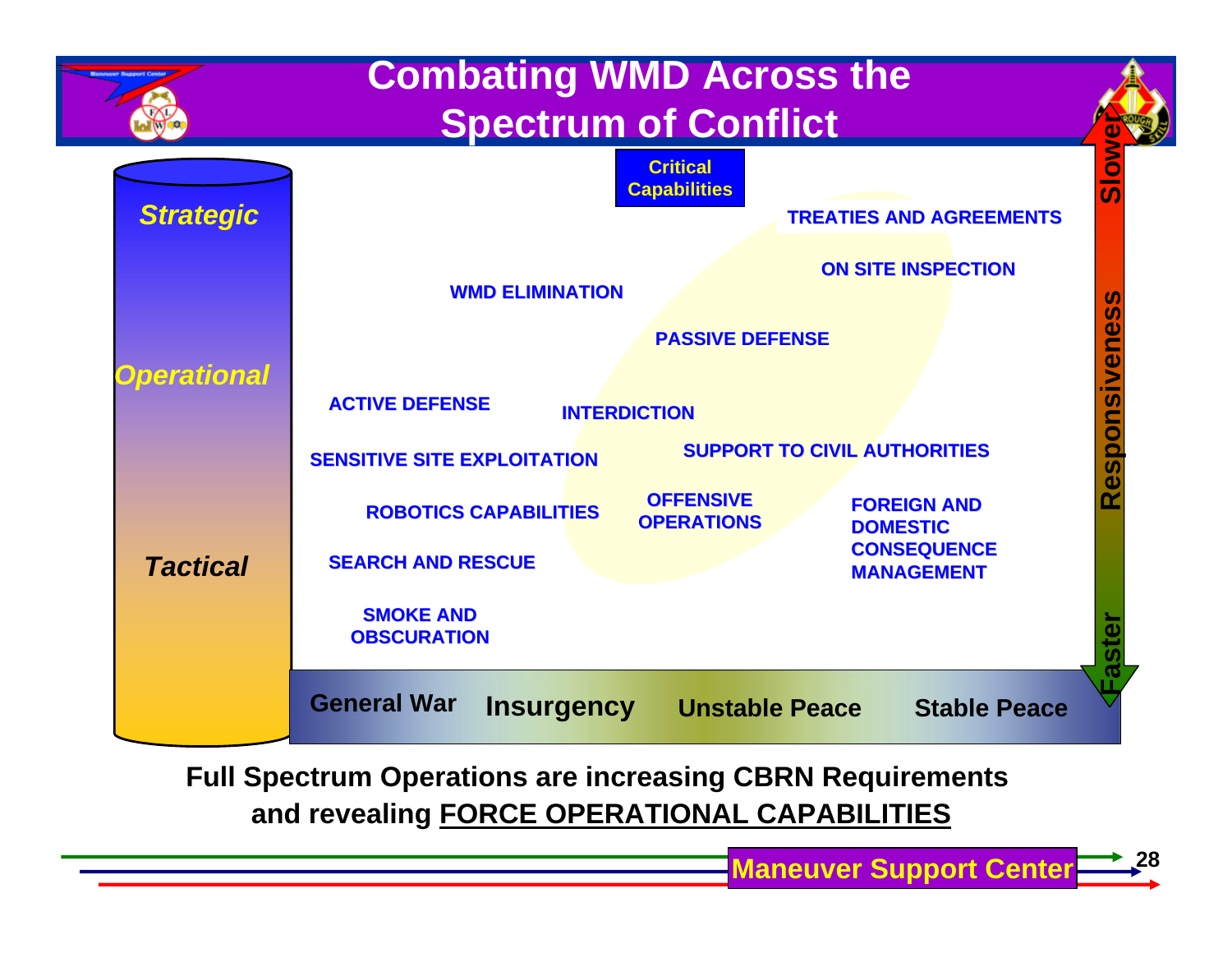

**Full Spectrum Operations are increasing CBRN Requirements and revealing FORCE OPERATIONAL CAPABILITIES**

**28**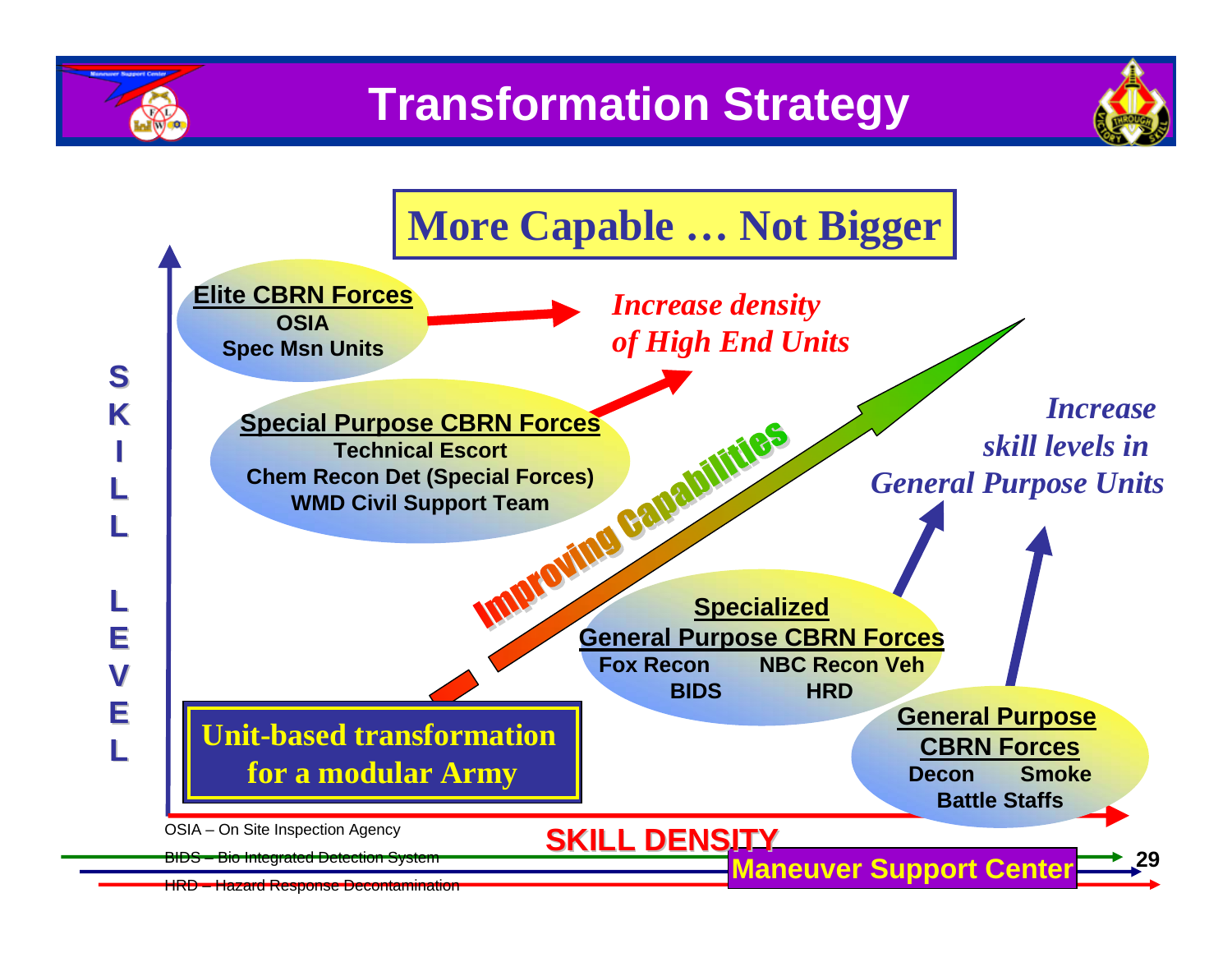

**S**

**K**

**L**

**L**

**L**

**E**

**V**

**E**

**L**





HRD – Hazard Response Decontamination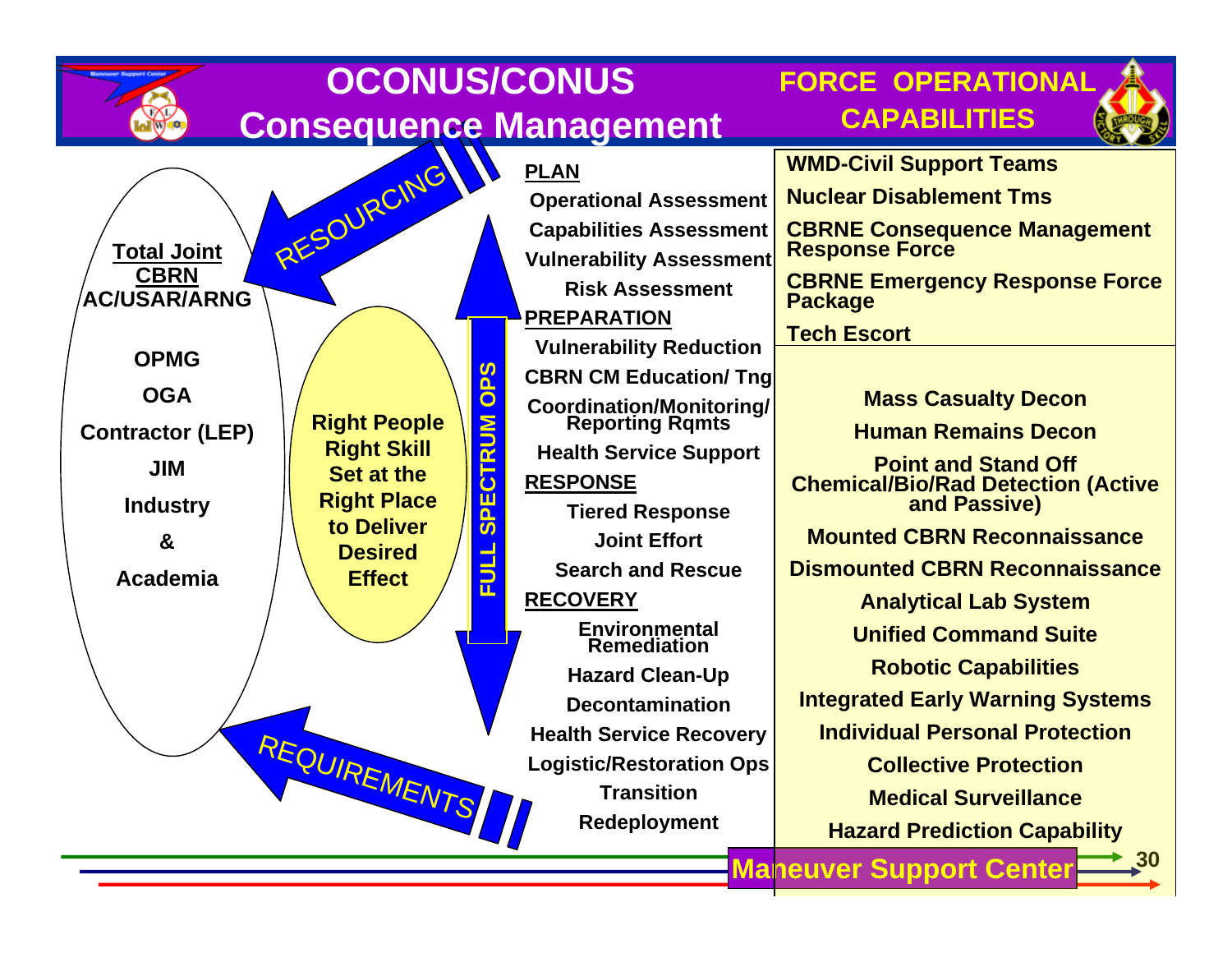|                                   |                                                                                                         | <b>OCONUS/CONUS</b>                                | <b>FORCE OPERATIONAL</b>                                                |
|-----------------------------------|---------------------------------------------------------------------------------------------------------|----------------------------------------------------|-------------------------------------------------------------------------|
|                                   |                                                                                                         | <b>Consequence Management</b>                      | <b>CAPABILITIES</b>                                                     |
| RESOURCING                        |                                                                                                         | <b>PLAN</b>                                        | <b>WMD-Civil Support Teams</b>                                          |
|                                   |                                                                                                         | <b>Operational Assessment</b>                      | <b>Nuclear Disablement Tms</b>                                          |
|                                   |                                                                                                         | <b>Capabilities Assessment</b>                     | <b>CBRNE Consequence Management<br/>Response Force</b>                  |
| <b>Total Joint</b><br><b>CBRN</b> |                                                                                                         | <b>Vulnerability Assessment</b>                    |                                                                         |
| <b>AC/USAR/ARNG</b>               |                                                                                                         | <b>Risk Assessment</b>                             | <b>CBRNE Emergency Response Force</b><br><b>Package</b>                 |
|                                   |                                                                                                         | PREPARATION                                        | <b>Tech Escort</b>                                                      |
| <b>OPMG</b>                       |                                                                                                         |                                                    |                                                                         |
| <b>OGA</b>                        | <b>99</b><br>$\overline{\mathbf{o}}$                                                                    | <b>CBRN CM Education/ Tng</b>                      |                                                                         |
| <b>Right People</b>               |                                                                                                         | <b>Coordination/Monitoring/</b><br>Reporting Rqmts | <b>Mass Casualty Decon</b>                                              |
| <b>Contractor (LEP)</b>           | <b>S</b><br><b>Right Skill</b><br><u>ה</u>                                                              | <b>Health Service Support</b>                      | <b>Human Remains Decon</b>                                              |
| <b>JIM</b><br><b>Set at the</b>   | ن                                                                                                       | <b>RESPONSE</b>                                    | <b>Point and Stand Off</b><br><b>Chemical/Bio/Rad Detection (Active</b> |
| <b>Industry</b>                   | <b>Right Place</b><br>ш<br>$\Omega$<br>to Deliver<br>$\overline{\boldsymbol{\omega}}$<br><b>Desired</b> | <b>Tiered Response</b>                             | and Passive)                                                            |
| &                                 |                                                                                                         | <b>Joint Effort</b>                                | <b>Mounted CBRN Reconnaissance</b>                                      |
| <b>Academia</b><br><b>Effect</b>  | <u> 리</u>                                                                                               | <b>Search and Rescue</b>                           | <b>Dismounted CBRN Reconnaissance</b>                                   |
|                                   |                                                                                                         | <b>RECOVERY</b>                                    | <b>Analytical Lab System</b>                                            |
|                                   |                                                                                                         | <b>Environmental</b><br><b>Remediation</b>         | <b>Unified Command Suite</b>                                            |
| REQUIREMENTS                      |                                                                                                         | <b>Hazard Clean-Up</b>                             | <b>Robotic Capabilities</b>                                             |
|                                   |                                                                                                         | <b>Decontamination</b>                             | <b>Integrated Early Warning Systems</b>                                 |
|                                   |                                                                                                         | <b>Health Service Recovery</b>                     | <b>Individual Personal Protection</b>                                   |
|                                   |                                                                                                         | <b>Logistic/Restoration Ops</b>                    | <b>Collective Protection</b>                                            |
|                                   |                                                                                                         | <b>Transition</b>                                  | <b>Medical Surveillance</b>                                             |
|                                   |                                                                                                         | Redeployment                                       | <b>Hazard Prediction Capability</b>                                     |
|                                   |                                                                                                         |                                                    | $\mathbf{20}$<br><b>Maneuver Support Center</b>                         |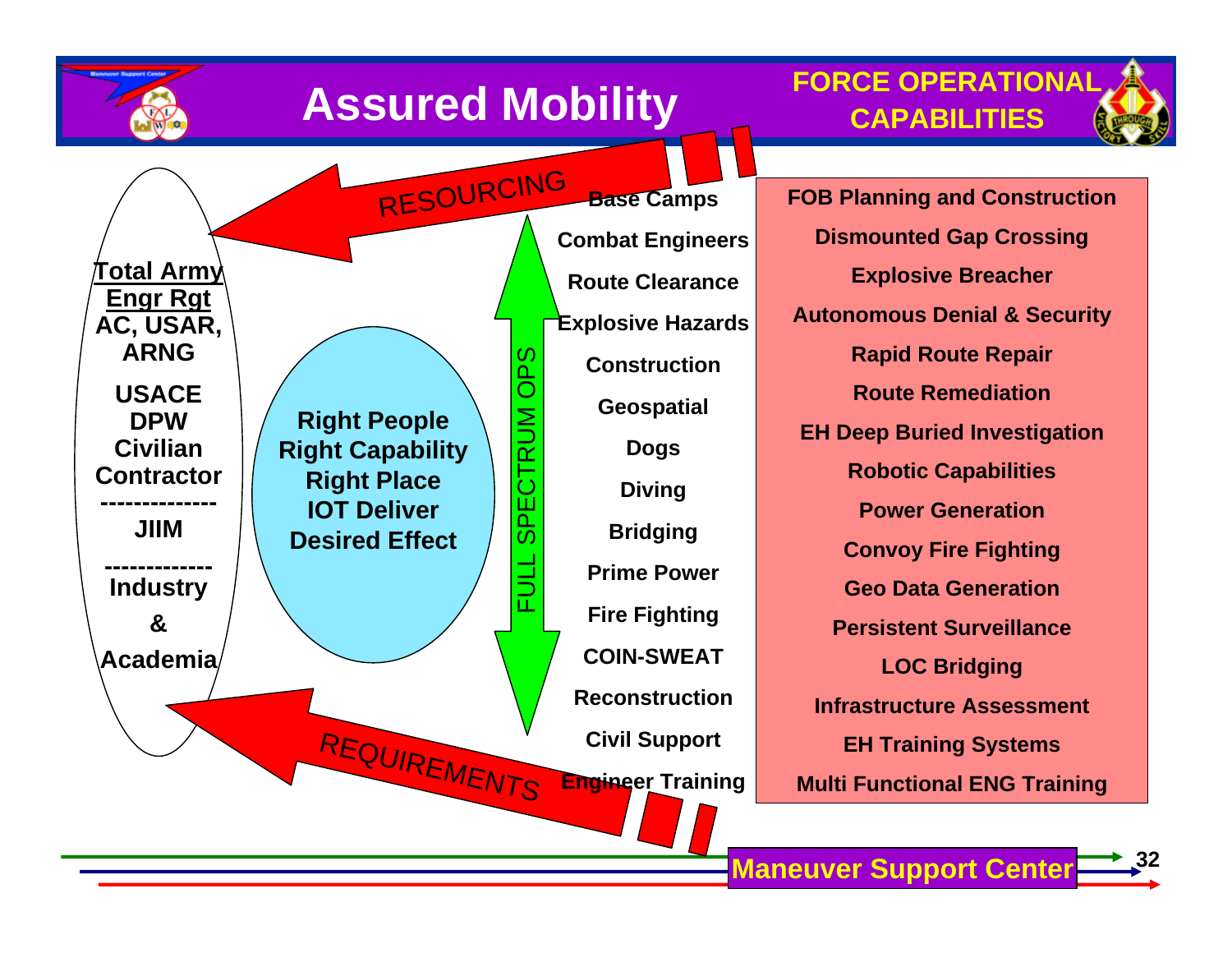![](_page_28_Figure_0.jpeg)

![](_page_28_Figure_1.jpeg)

![](_page_28_Figure_2.jpeg)

RESOURCING **Total Army Engr Rgt AC, USAR, ARNG**OPS FULL SPECTRUM OPS **USACE**  CTRUM **Right People DPW Civilian Right Capability Contractor Right Place SPE IOT Deliver -------------- JIIMDesired Effect------------- Industry &Academia**REQUIREMENTS

**Base Camps Combat Engineers Route ClearanceExplosive Hazards ConstructionGeospatial Dogs Diving Bridging Prime PowerFire Fighting COIN-SWEATReconstructionCivil Support Engineer Training**

**FOB Planning and Construction Dismounted Gap Crossing Explosive Breacher Autonomous Denial & Security Rapid Route Repair Route RemediationEH Deep Buried Investigation Robotic Capabilities Power GenerationConvoy Fire Fighting Geo Data GenerationPersistent SurveillanceLOC Bridging Infrastructure AssessmentEH Training Systems Multi Functional ENG Training**

![](_page_28_Figure_6.jpeg)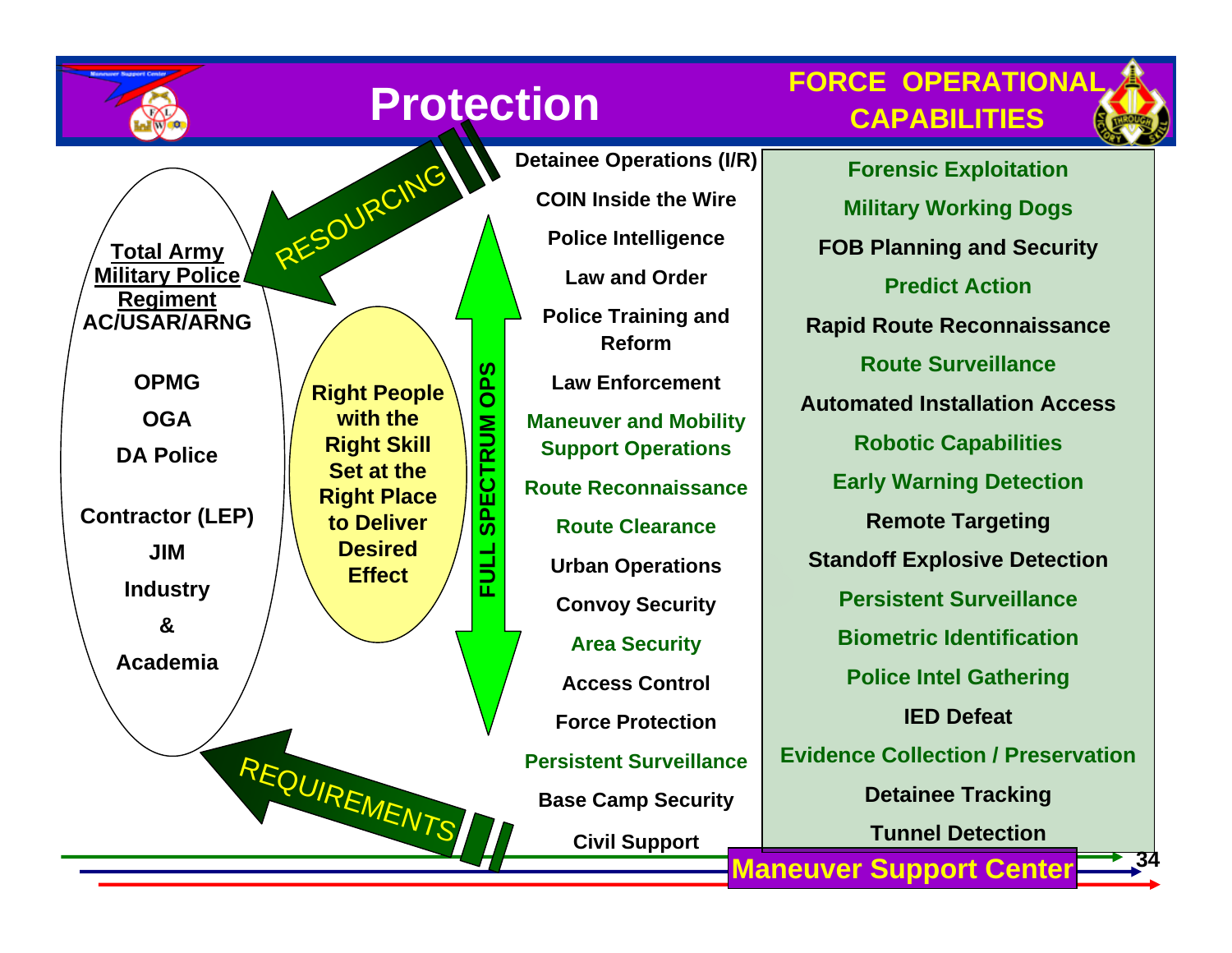![](_page_29_Picture_0.jpeg)

# **Protection**

**FULL SPECTRUM OPS**

글<br>군

**SPECTRUM** 

**SdO** 

**FORCE OPERATIONALCAPABILITIES**

![](_page_29_Picture_3.jpeg)

**Right People with the Right Skill Set at the Right Place to Deliver Desired EffectTotal Army Military Police Regiment AC/USAR/ARNGOPMGOGADA Police Contractor (LEP) JIMIndustr y &Academia**REQUIREMENTS RESOURCING

**Detainee Operations (I/R) COIN Inside the WirePolice Intellige nce Law and OrderPolice Training and ReformLaw EnforcementManeuver and Mobility Support Operations Route Reconnaissance Route ClearanceUrban Operations Convoy Security Area Security Access ControlForce ProtectionPersistent SurveillanceBase Camp Security Civil Support**

**34 Maneuver Support Center Forensic Exploitation Militar y Working Dogs FOB Planning and Security Predict ActionRapid Route Reconnaissance Route SurveillanceAutomated Installation AccessRobotic Capabilities Earl y Warning Detection Remote Targeting Standoff Explosive Detection Persistent SurveillanceBiometric IdentificationPolice Intel Gathering IED DefeatEvidence Collection / PreservationDetainee Tracking Tunnel Detection**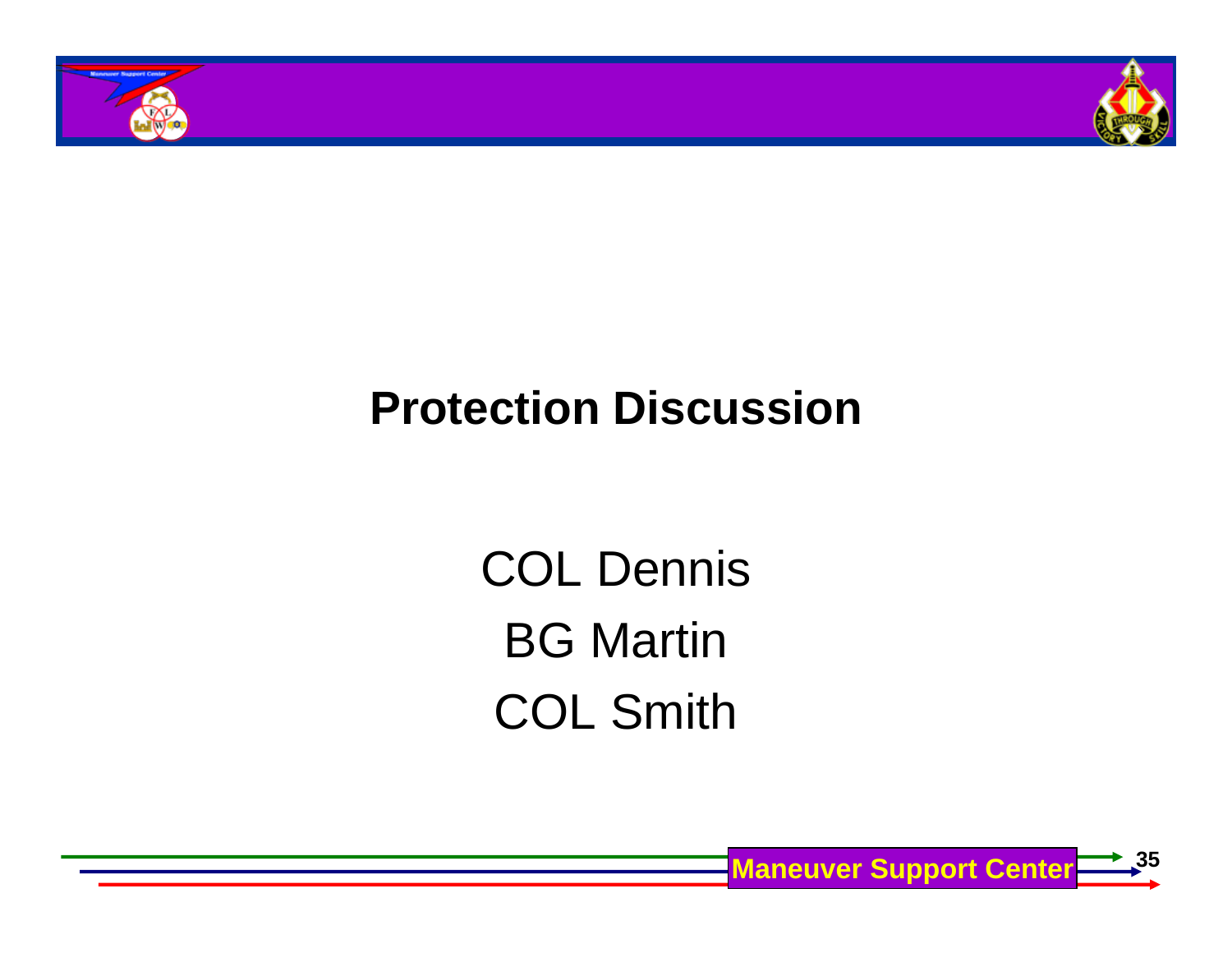![](_page_30_Picture_0.jpeg)

![](_page_30_Picture_1.jpeg)

### **Protection Discussion**

COL Dennis BG Martin COL Smith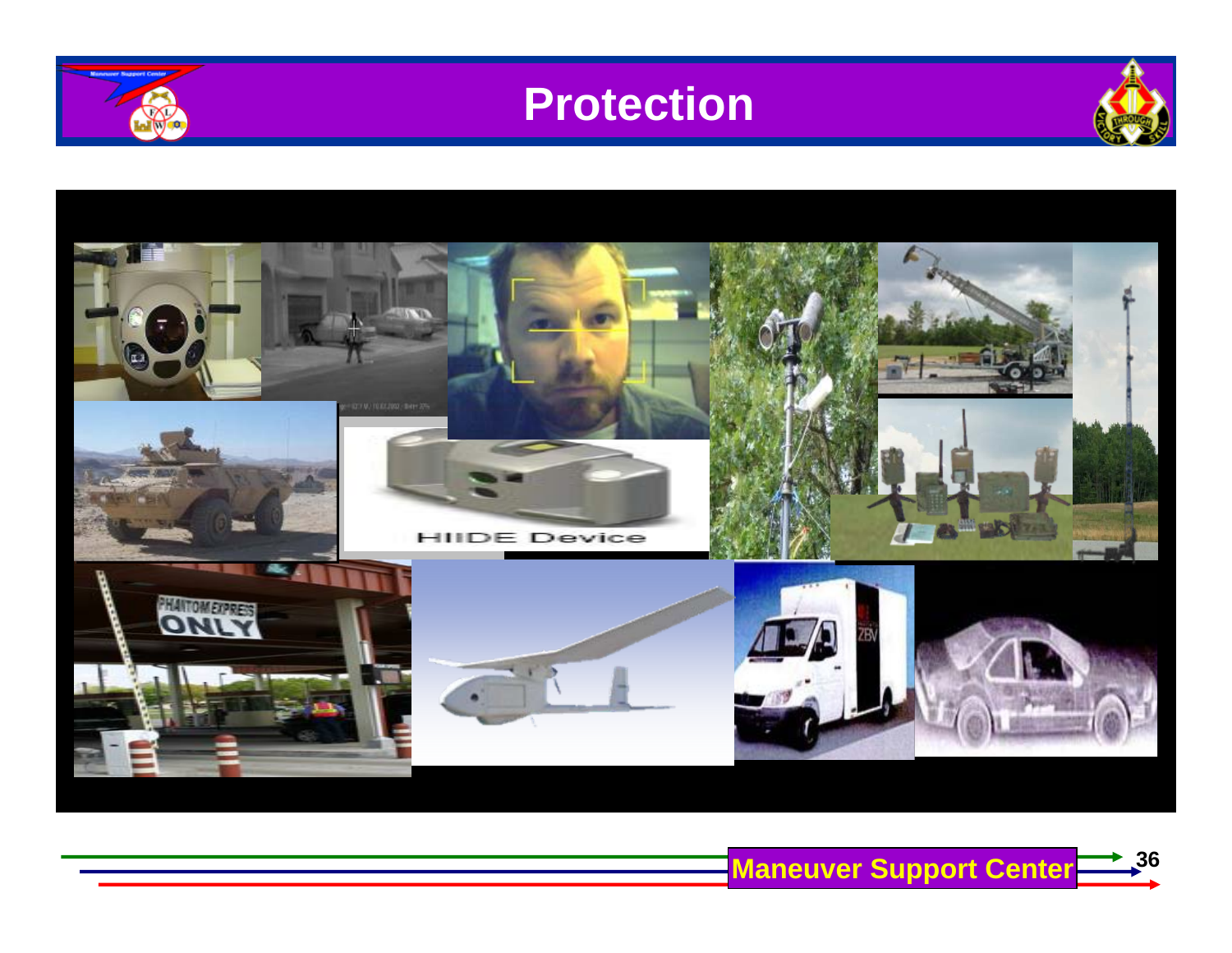![](_page_31_Picture_0.jpeg)

![](_page_31_Picture_1.jpeg)

![](_page_31_Picture_2.jpeg)

![](_page_31_Picture_3.jpeg)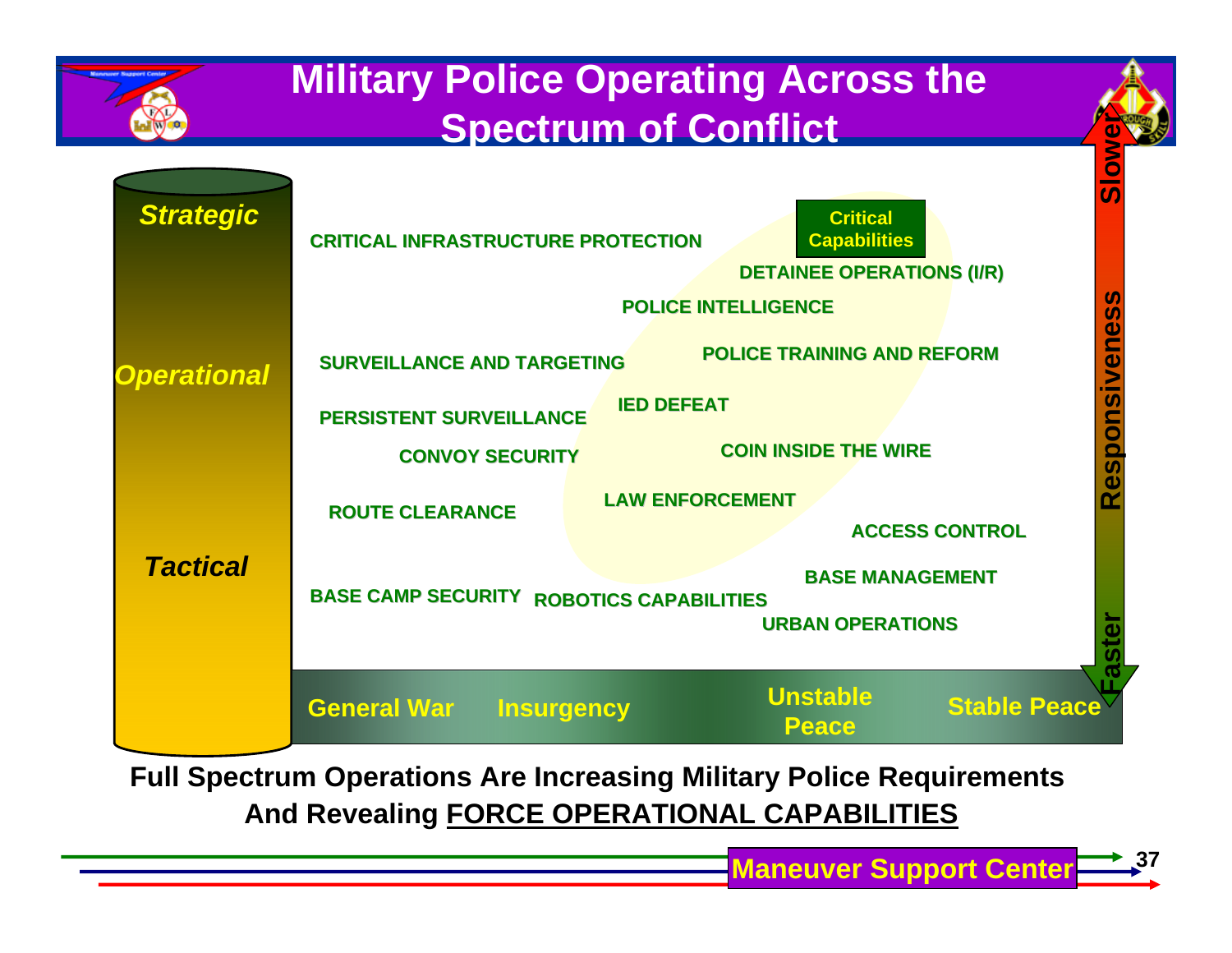![](_page_32_Figure_0.jpeg)

**Full Spectrum Operations Are Increasing Military Police Requirements And Revealing FORCE OPERATIONAL CAPABILITIES**

**37**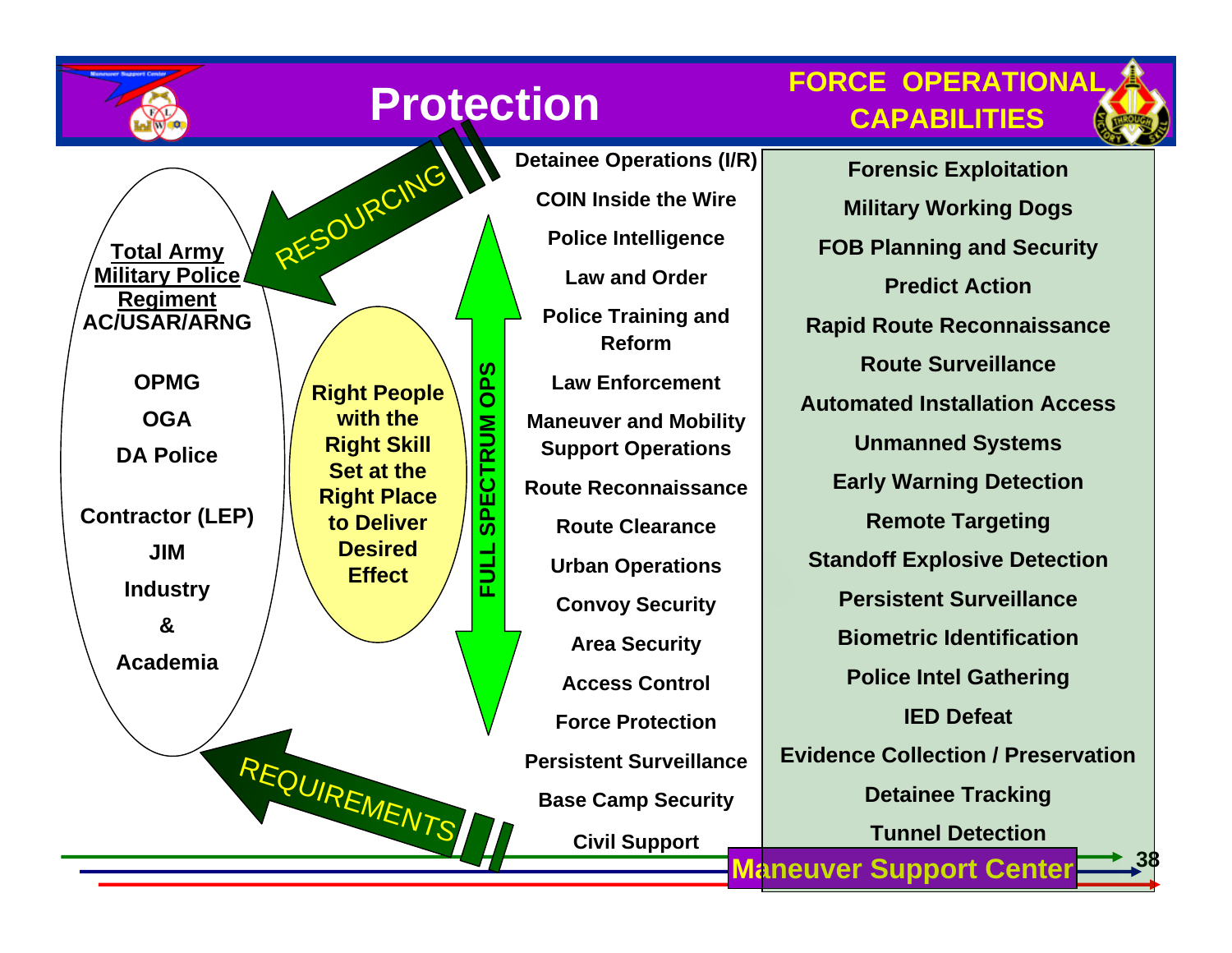![](_page_33_Picture_0.jpeg)

# **Protection**

**FULL SPECTRUM OPS**

글<br>군

**SPECTRUM** 

**SaO** 

**Total Army Military Police Regiment AC/USAR/ARNG**

> **OPMGOGA**

**DA Police** 

**Contractor (LEP) JIMIndustr y**

**&**

**Academia**

**Right People with the Right Skill Set at the Right Place to Deliver Desired Effect**

RESOURCING

REQUIREMENTS

 **Maneuver Support Center COIN Inside the WirePolice Intellige nce Law and OrderPolice Training and ReformLaw EnforcementManeuver and Mobility Support Operations Route Reconnaissance Route ClearanceUrban Operations Convoy Security Area Security Access ControlForce ProtectionPersistent SurveillanceBase Camp Security Civil Support**

**Detainee Operations (I/R)**

### **FORCE OPERATIONALCAPABILITIES**

![](_page_33_Picture_11.jpeg)

**38**

**Forensic Exploitation Militar y Working Dogs FOB Planning and Security Predict ActionRapid Route Reconnaissance Route SurveillanceAutomated Installation AccessUnmanned Systems Earl y Warning Detection Remote Targeting Standoff Explosive Detection Persistent SurveillanceBiometric IdentificationPolice Intel Gathering IED DefeatEvidence Collection / Preservation Detainee Tracking Tunnel Detection**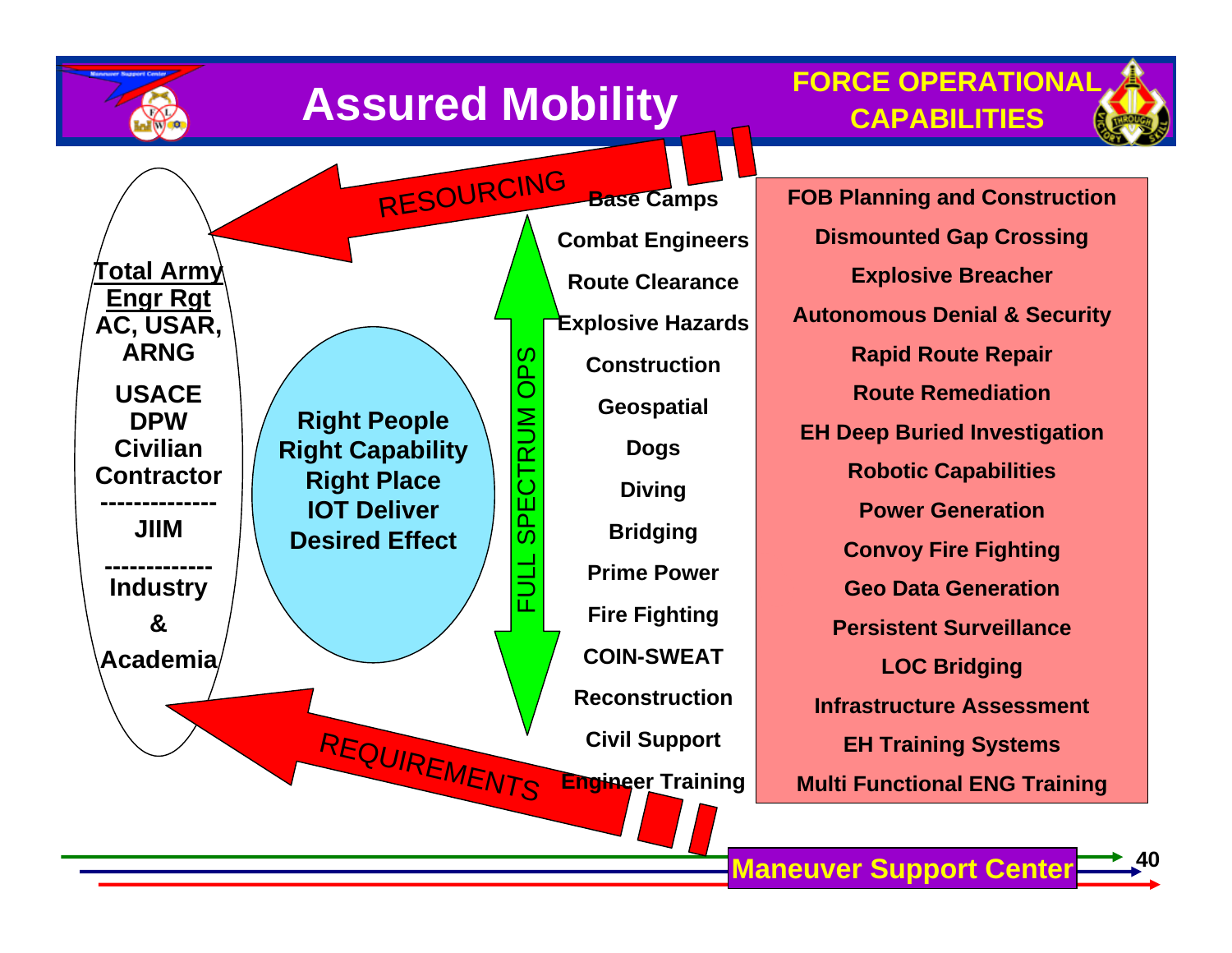![](_page_34_Figure_0.jpeg)

![](_page_34_Figure_1.jpeg)

![](_page_34_Figure_2.jpeg)

RESOURCING **Total Army Engr Rgt AC, USAR, ARNG**OPS FULL SPECTRUM OPS **USACE**  CTRUM **Right People DPW Civilian Right Capability Contractor Right Place SPE IOT Deliver -------------- JIIMDesired Effect------------- Industry &Academia**REQUIREMENTS

**Base Camps Combat Engineers Route ClearanceExplosive Hazards ConstructionGeospatial Dogs Diving Bridging Prime PowerFire Fighting COIN-SWEATReconstructionCivil Support Engineer Training**

**FOB Planning and Construction Dismounted Gap Crossing Explosive Breacher Autonomous Denial & Security Rapid Route Repair Route RemediationEH Deep Buried Investigation Robotic Capabilities Power GenerationConvoy Fire Fighting Geo Data GenerationPersistent SurveillanceLOC Bridging Infrastructure AssessmentEH Training Systems Multi Functional ENG Training**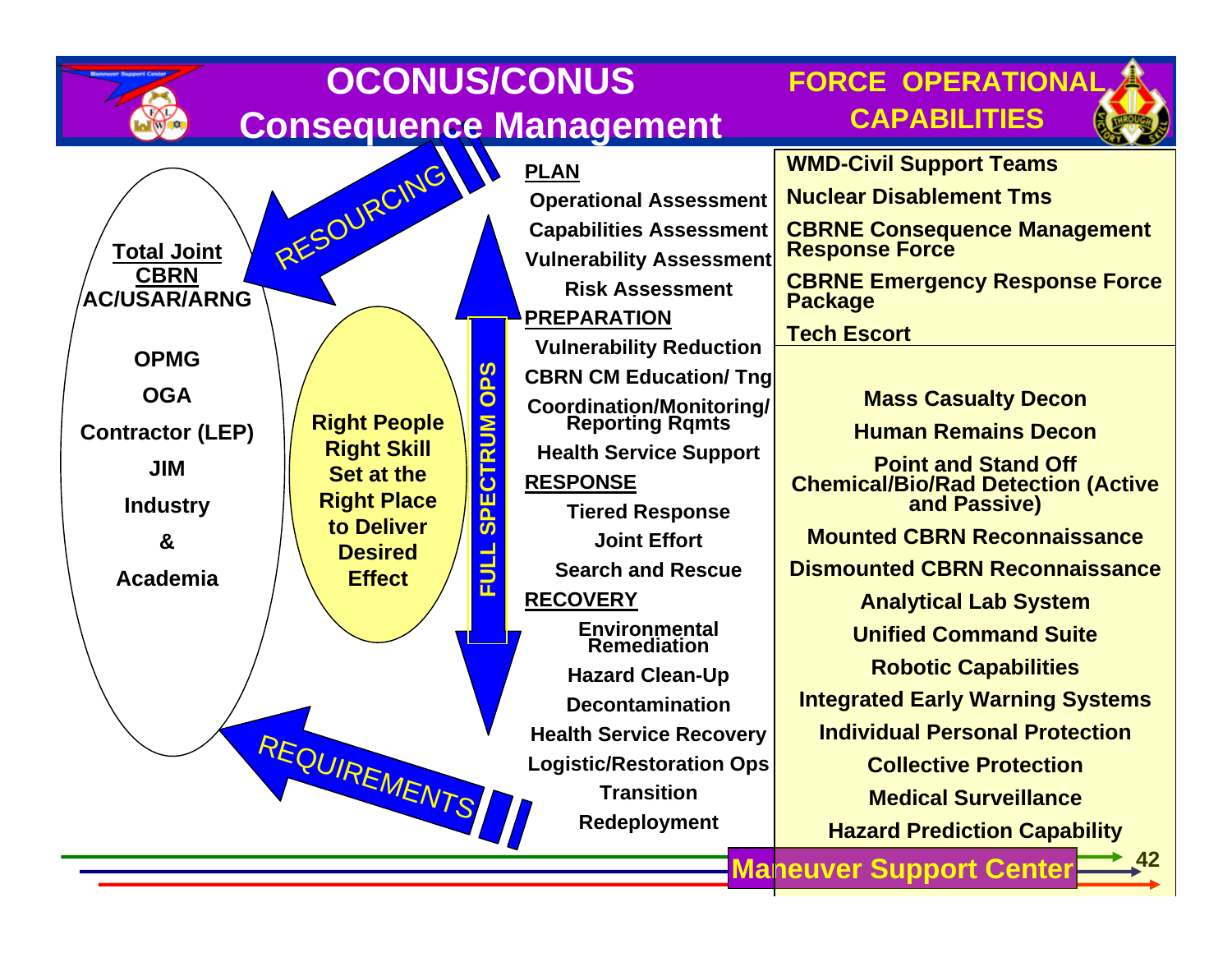|                                   | <b>OCONUS/CONUS</b>                                                                                                                                                                 |                                                    | <b>FORCE OPERATIONAL</b>                                                |
|-----------------------------------|-------------------------------------------------------------------------------------------------------------------------------------------------------------------------------------|----------------------------------------------------|-------------------------------------------------------------------------|
|                                   |                                                                                                                                                                                     | <b>Consequence Management</b>                      | <b>CAPABILITIES</b>                                                     |
|                                   | RESOURCING                                                                                                                                                                          | <b>PLAN</b>                                        | <b>WMD-Civil Support Teams</b>                                          |
|                                   |                                                                                                                                                                                     | <b>Operational Assessment</b>                      | <b>Nuclear Disablement Tms</b>                                          |
|                                   |                                                                                                                                                                                     | <b>Capabilities Assessment</b>                     | <b>CBRNE Consequence Management<br/>Response Force</b>                  |
| <b>Total Joint</b><br><b>CBRN</b> |                                                                                                                                                                                     | <b>Vulnerability Assessment</b>                    |                                                                         |
| <b>AC/USAR/ARNG</b>               |                                                                                                                                                                                     | <b>Risk Assessment</b>                             | <b>CBRNE Emergency Response Force</b><br><b>Package</b>                 |
|                                   |                                                                                                                                                                                     | PREPARATION                                        | <b>Tech Escort</b>                                                      |
| <b>OPMG</b>                       |                                                                                                                                                                                     | <b>Vulnerability Reduction</b>                     |                                                                         |
| <b>OGA</b>                        | <u>က</u>                                                                                                                                                                            | <b>CBRN CM Education/ Tng</b>                      |                                                                         |
|                                   | $\overline{\mathbf{o}}$<br><b>Right People</b>                                                                                                                                      | <b>Coordination/Monitoring/</b><br>Reporting Rqmts | <b>Mass Casualty Decon</b>                                              |
| <b>Contractor (LEP)</b>           | $\overline{\mathsf{S}}$<br><b>Right Skill</b><br>$\overline{\mathbf{r}}$<br>Set at the<br>ن<br><b>Right Place</b><br>Ш<br>to Deliver<br>ഗ<br><b>Desired</b><br>FUL<br><b>Effect</b> | <b>Health Service Support</b>                      | <b>Human Remains Decon</b>                                              |
| <b>JIM</b>                        |                                                                                                                                                                                     | <b>RESPONSE</b>                                    | <b>Point and Stand Off</b><br><b>Chemical/Bio/Rad Detection (Active</b> |
| <b>Industry</b>                   |                                                                                                                                                                                     | <b>Tiered Response</b>                             | and Passive)                                                            |
| &                                 |                                                                                                                                                                                     | <b>Joint Effort</b>                                | <b>Mounted CBRN Reconnaissance</b>                                      |
| Academia                          |                                                                                                                                                                                     | <b>Search and Rescue</b>                           | <b>Dismounted CBRN Reconnaissance</b>                                   |
|                                   |                                                                                                                                                                                     | <b>RECOVERY</b>                                    | <b>Analytical Lab System</b>                                            |
|                                   |                                                                                                                                                                                     | <b>Environmental</b><br><b>Remediation</b>         | <b>Unified Command Suite</b>                                            |
|                                   |                                                                                                                                                                                     | <b>Hazard Clean-Up</b>                             | <b>Robotic Capabilities</b>                                             |
|                                   |                                                                                                                                                                                     | <b>Decontamination</b>                             | <b>Integrated Early Warning Systems</b>                                 |
|                                   |                                                                                                                                                                                     | <b>Health Service Recovery</b>                     | <b>Individual Personal Protection</b>                                   |
|                                   | REQUIREMENTS                                                                                                                                                                        | <b>Logistic/Restoration Ops</b>                    | <b>Collective Protection</b>                                            |
|                                   |                                                                                                                                                                                     | <b>Transition</b>                                  | <b>Medical Surveillance</b>                                             |
|                                   |                                                                                                                                                                                     | Redeployment                                       | <b>Hazard Prediction Capability</b>                                     |
|                                   |                                                                                                                                                                                     |                                                    | $-42$<br><b>Maneuver Support Center</b>                                 |
|                                   |                                                                                                                                                                                     |                                                    |                                                                         |

₹